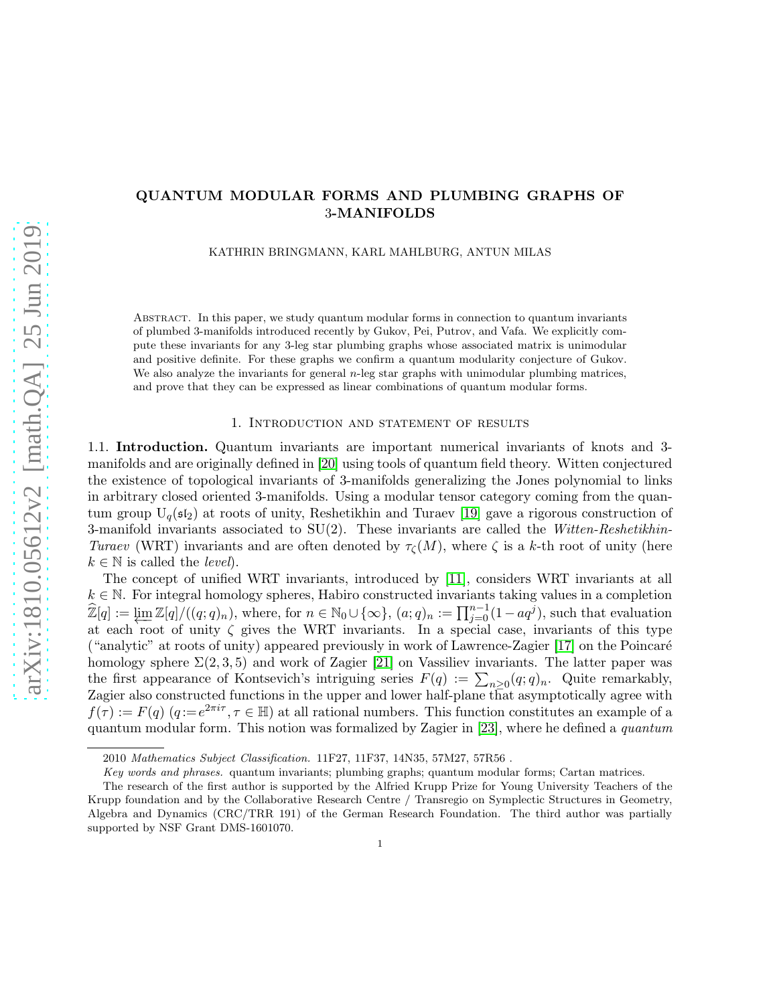## QUANTUM MODULAR FORMS AND PLUMBING GRAPHS OF 3-MANIFOLDS

KATHRIN BRINGMANN, KARL MAHLBURG, ANTUN MILAS

Abstract. In this paper, we study quantum modular forms in connection to quantum invariants of plumbed 3-manifolds introduced recently by Gukov, Pei, Putrov, and Vafa. We explicitly compute these invariants for any 3-leg star plumbing graphs whose associated matrix is unimodular and positive definite. For these graphs we confirm a quantum modularity conjecture of Gukov. We also analyze the invariants for general  $n$ -leg star graphs with unimodular plumbing matrices, and prove that they can be expressed as linear combinations of quantum modular forms.

#### 1. Introduction and statement of results

1.1. Introduction. Quantum invariants are important numerical invariants of knots and 3 manifolds and are originally defined in [\[20\]](#page-25-0) using tools of quantum field theory. Witten conjectured the existence of topological invariants of 3-manifolds generalizing the Jones polynomial to links in arbitrary closed oriented 3-manifolds. Using a modular tensor category coming from the quantum group  $U_q(\mathfrak{sl}_2)$  at roots of unity, Reshetikhin and Turaev [\[19\]](#page-25-1) gave a rigorous construction of 3-manifold invariants associated to  $SU(2)$ . These invariants are called the Witten-Reshetikhin-Turaev (WRT) invariants and are often denoted by  $\tau_c(M)$ , where  $\zeta$  is a k-th root of unity (here  $k \in \mathbb{N}$  is called the *level*).

The concept of unified WRT invariants, introduced by [\[11\]](#page-25-2), considers WRT invariants at all  $k \in \mathbb{N}$ . For integral homology spheres, Habiro constructed invariants taking values in a completion  $\widehat{\mathbb{Z}}[q] := \varprojlim \mathbb{Z}[q]/((q;q)_n)$ , where, for  $n \in \mathbb{N}_0 \cup \{\infty\}$ ,  $(a;q)_n := \prod_{j=0}^{n-1} (1 - aq^j)$ , such that evaluation at each root of unity  $\zeta$  gives the WRT invariants. In a special case, invariants of this type ("analytic" at roots of unity) appeared previously in work of Lawrence-Zagier [\[17\]](#page-25-3) on the Poincar´e homology sphere  $\Sigma(2,3,5)$  and work of Zagier [\[21\]](#page-25-4) on Vassiliev invariants. The latter paper was the first appearance of Kontsevich's intriguing series  $F(q) := \sum_{n\geq 0} (q;q)_n$ . Quite remarkably, Zagier also constructed functions in the upper and lower half-plane that asymptotically agree with  $f(\tau) := F(q)$   $(q := e^{2\pi i \tau}, \tau \in \mathbb{H})$  at all rational numbers. This function constitutes an example of a quantum modular form. This notion was formalized by Zagier in [\[23\]](#page-26-0), where he defined a quantum

<sup>2010</sup> Mathematics Subject Classification. 11F27, 11F37, 14N35, 57M27, 57R56 .

Key words and phrases. quantum invariants; plumbing graphs; quantum modular forms; Cartan matrices.

The research of the first author is supported by the Alfried Krupp Prize for Young University Teachers of the Krupp foundation and by the Collaborative Research Centre / Transregio on Symplectic Structures in Geometry, Algebra and Dynamics (CRC/TRR 191) of the German Research Foundation. The third author was partially supported by NSF Grant DMS-1601070.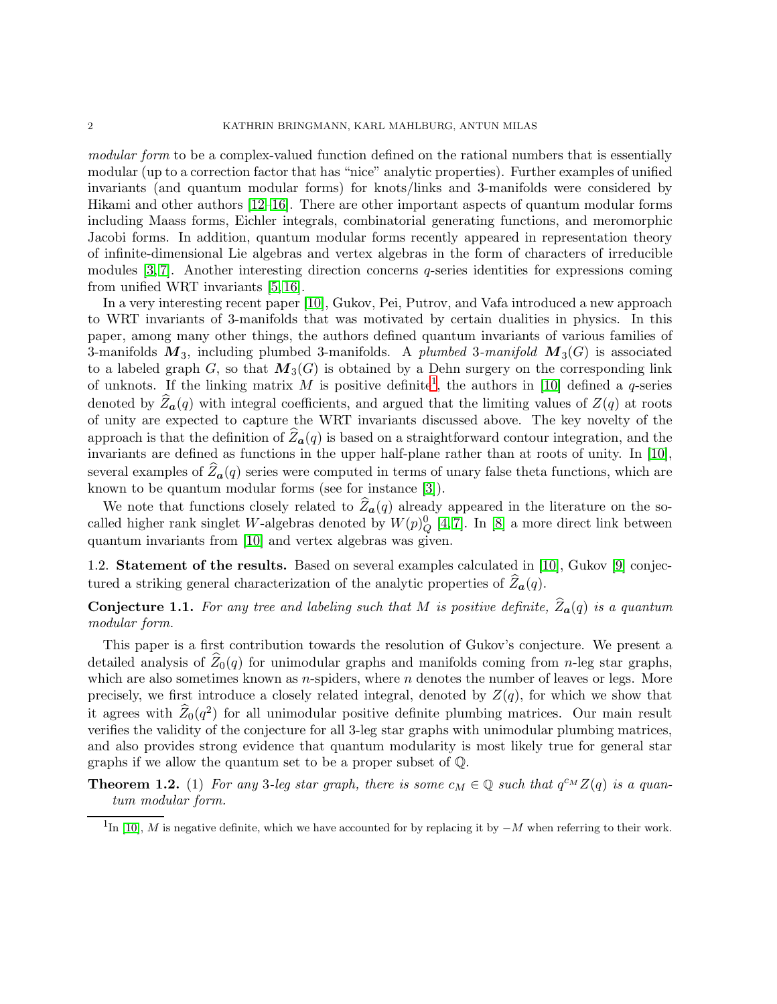modular form to be a complex-valued function defined on the rational numbers that is essentially modular (up to a correction factor that has "nice" analytic properties). Further examples of unified invariants (and quantum modular forms) for knots/links and 3-manifolds were considered by Hikami and other authors [\[12](#page-25-5)[–16\]](#page-25-6). There are other important aspects of quantum modular forms including Maass forms, Eichler integrals, combinatorial generating functions, and meromorphic Jacobi forms. In addition, quantum modular forms recently appeared in representation theory of infinite-dimensional Lie algebras and vertex algebras in the form of characters of irreducible modules  $[3, 7]$  $[3, 7]$ . Another interesting direction concerns q-series identities for expressions coming from unified WRT invariants [\[5,](#page-25-9) [16\]](#page-25-6).

In a very interesting recent paper [\[10\]](#page-25-10), Gukov, Pei, Putrov, and Vafa introduced a new approach to WRT invariants of 3-manifolds that was motivated by certain dualities in physics. In this paper, among many other things, the authors defined quantum invariants of various families of 3-manifolds  $M_3$ , including plumbed 3-manifolds. A plumbed 3-manifold  $M_3(G)$  is associated to a labeled graph G, so that  $M_3(G)$  is obtained by a Dehn surgery on the corresponding link of unknots. If the linking matrix M is positive definite<sup>[1](#page-1-0)</sup>, the authors in [\[10\]](#page-25-10) defined a q-series denoted by  $Z_{a}(q)$  with integral coefficients, and argued that the limiting values of  $Z(q)$  at roots of unity are expected to capture the WRT invariants discussed above. The key novelty of the approach is that the definition of  $\mathbb{Z}_a(q)$  is based on a straightforward contour integration, and the invariants are defined as functions in the upper half-plane rather than at roots of unity. In [\[10\]](#page-25-10), several examples of  $Z_a(q)$  series were computed in terms of unary false theta functions, which are known to be quantum modular forms (see for instance [\[3\]](#page-25-7)).

We note that functions closely related to  $\hat{Z}_{a}(q)$  already appeared in the literature on the socalled higher rank singlet W-algebras denoted by  $W(p)_{Q}^{0}$  [\[4,](#page-25-11)7]. In [\[8\]](#page-25-12) a more direct link between quantum invariants from [\[10\]](#page-25-10) and vertex algebras was given.

1.2. Statement of the results. Based on several examples calculated in [\[10\]](#page-25-10), Gukov [\[9\]](#page-25-13) conjectured a striking general characterization of the analytic properties of  $\widehat{Z}_{\boldsymbol{a}}(q)$ .

# <span id="page-1-2"></span>**Conjecture 1.1.** For any tree and labeling such that M is positive definite,  $\widehat{Z}_{a}(q)$  is a quantum modular form.

This paper is a first contribution towards the resolution of Gukov's conjecture. We present a detailed analysis of  $\hat{Z}_0(q)$  for unimodular graphs and manifolds coming from n-leg star graphs, which are also sometimes known as  $n$ -spiders, where  $n$  denotes the number of leaves or legs. More precisely, we first introduce a closely related integral, denoted by  $Z(q)$ , for which we show that it agrees with  $\widehat{Z}_0(q^2)$  for all unimodular positive definite plumbing matrices. Our main result verifies the validity of the conjecture for all 3-leg star graphs with unimodular plumbing matrices, and also provides strong evidence that quantum modularity is most likely true for general star graphs if we allow the quantum set to be a proper subset of Q.

<span id="page-1-1"></span>**Theorem 1.2.** (1) For any 3-leg star graph, there is some  $c_M \in \mathbb{Q}$  such that  $q^{c_M}Z(q)$  is a quantum modular form.

<span id="page-1-0"></span><sup>&</sup>lt;sup>1</sup>In [\[10\]](#page-25-10), M is negative definite, which we have accounted for by replacing it by  $-M$  when referring to their work.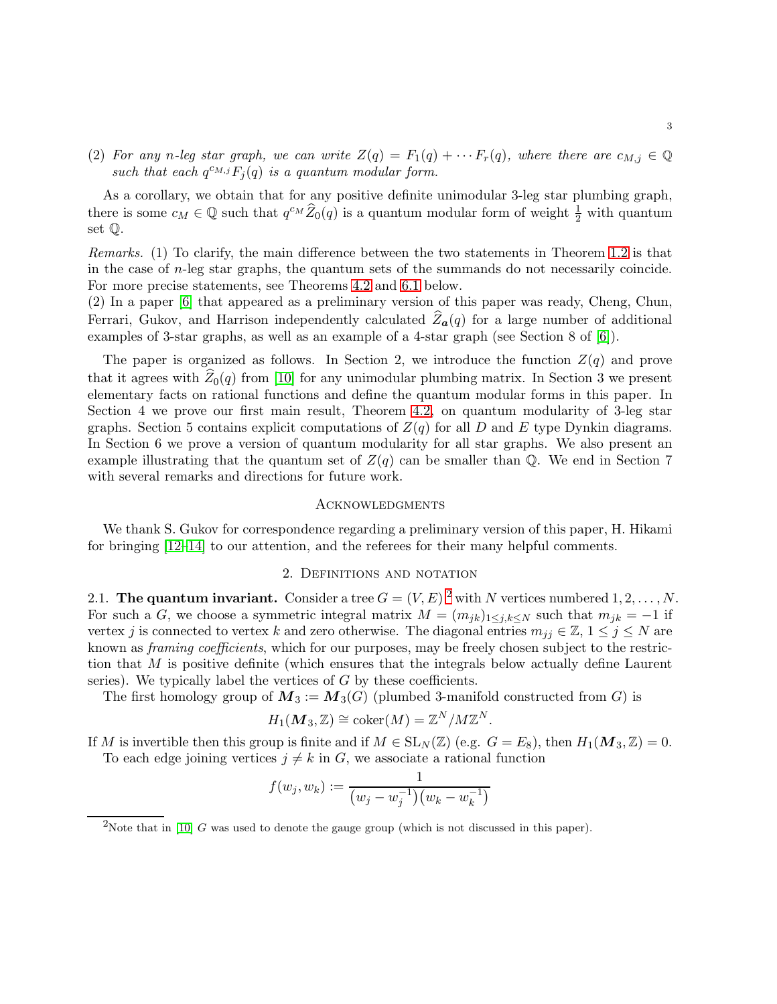<span id="page-2-1"></span>(2) For any n-leg star graph, we can write  $Z(q) = F_1(q) + \cdots F_r(q)$ , where there are  $c_{M,j} \in \mathbb{Q}$ such that each  $q^{c_{M,j}}F_j(q)$  is a quantum modular form.

As a corollary, we obtain that for any positive definite unimodular 3-leg star plumbing graph, there is some  $c_M \in \mathbb{Q}$  such that  $q^{c_M} \widehat{Z}_0(q)$  is a quantum modular form of weight  $\frac{1}{2}$  with quantum set Q.

Remarks. (1) To clarify, the main difference between the two statements in Theorem 1.2 is that in the case of n-leg star graphs, the quantum sets of the summands do not necessarily coincide. For more precise statements, see Theorems [4.2](#page-9-0) and [6.1](#page-20-0) below.

(2) In a paper [\[6\]](#page-25-14) that appeared as a preliminary version of this paper was ready, Cheng, Chun, Ferrari, Gukov, and Harrison independently calculated  $\hat{Z}_{a}(q)$  for a large number of additional examples of 3-star graphs, as well as an example of a 4-star graph (see Section 8 of [\[6\]](#page-25-14)).

The paper is organized as follows. In Section 2, we introduce the function  $Z(q)$  and prove that it agrees with  $Z_0(q)$  from [\[10\]](#page-25-10) for any unimodular plumbing matrix. In Section 3 we present elementary facts on rational functions and define the quantum modular forms in this paper. In Section 4 we prove our first main result, Theorem [4.2,](#page-9-0) on quantum modularity of 3-leg star graphs. Section 5 contains explicit computations of  $Z(q)$  for all D and E type Dynkin diagrams. In Section 6 we prove a version of quantum modularity for all star graphs. We also present an example illustrating that the quantum set of  $Z(q)$  can be smaller than Q. We end in Section 7 with several remarks and directions for future work.

#### **ACKNOWLEDGMENTS**

We thank S. Gukov for correspondence regarding a preliminary version of this paper, H. Hikami for bringing [\[12](#page-25-5)[–14\]](#page-25-15) to our attention, and the referees for their many helpful comments.

#### 2. Definitions and notation

[2](#page-2-0).1. The quantum invariant. Consider a tree  $G = (V, E)^2$  with N vertices numbered  $1, 2, ..., N$ . For such a G, we choose a symmetric integral matrix  $M = (m_{jk})_{1 \leq j,k \leq N}$  such that  $m_{jk} = -1$  if vertex j is connected to vertex k and zero otherwise. The diagonal entries  $m_{ij} \in \mathbb{Z}, 1 \le j \le N$  are known as *framing coefficients*, which for our purposes, may be freely chosen subject to the restriction that M is positive definite (which ensures that the integrals below actually define Laurent series). We typically label the vertices of  $G$  by these coefficients.

The first homology group of  $M_3 := M_3(G)$  (plumbed 3-manifold constructed from G) is

$$
H_1(\boldsymbol{M}_3, \mathbb{Z}) \cong \mathrm{coker}(M) = \mathbb{Z}^N / M \mathbb{Z}^N.
$$

If M is invertible then this group is finite and if  $M \in SL_N(\mathbb{Z})$  (e.g.  $G = E_8$ ), then  $H_1(M_3, \mathbb{Z}) = 0$ . To each edge joining vertices  $j \neq k$  in G, we associate a rational function

$$
f(w_j, w_k) := \frac{1}{(w_j - w_j^{-1})(w_k - w_k^{-1})}
$$

<span id="page-2-0"></span><sup>&</sup>lt;sup>2</sup>Note that in [\[10\]](#page-25-10) G was used to denote the gauge group (which is not discussed in this paper).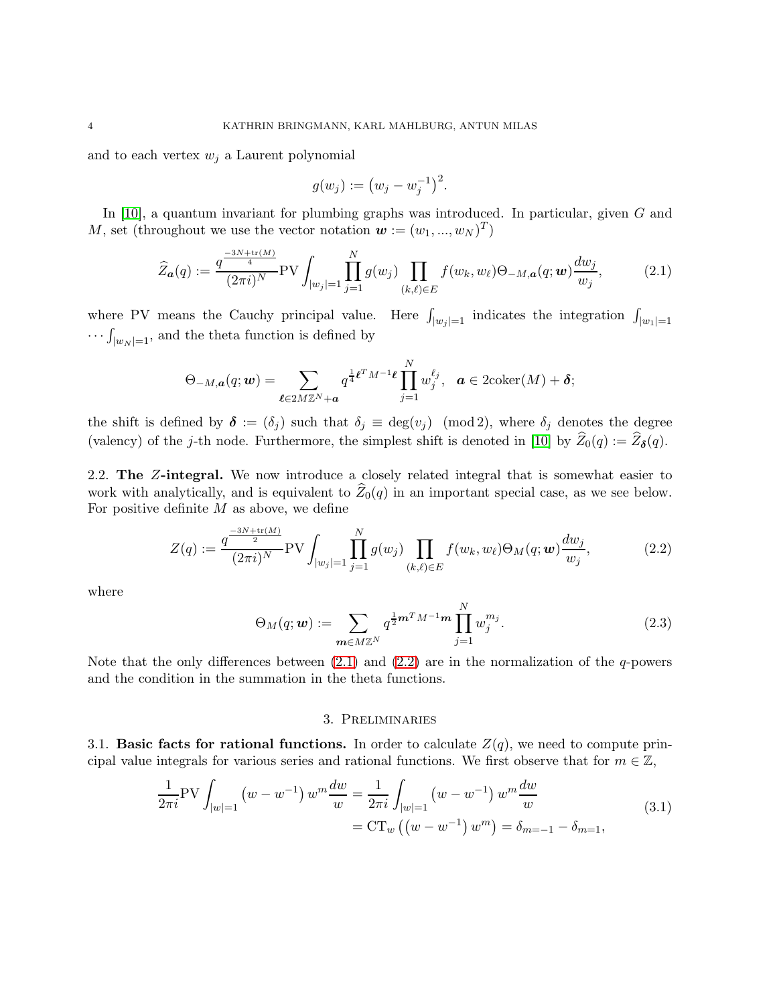and to each vertex  $w_i$  a Laurent polynomial

$$
g(w_j) := (w_j - w_j^{-1})^2.
$$

In [\[10\]](#page-25-10), a quantum invariant for plumbing graphs was introduced. In particular, given G and M, set (throughout we use the vector notation  $\mathbf{w} := (w_1, ..., w_N)^T$ )

<span id="page-3-0"></span>
$$
\widehat{Z}_{\mathbf{a}}(q) := \frac{q^{\frac{-3N + \text{tr}(M)}{4}}}{(2\pi i)^N} \text{PV} \int_{|w_j|=1} \prod_{j=1}^N g(w_j) \prod_{(k,\ell) \in E} f(w_k, w_\ell) \Theta_{-M,\mathbf{a}}(q; \mathbf{w}) \frac{dw_j}{w_j},\tag{2.1}
$$

where PV means the Cauchy principal value. Here  $\int_{|w_j|=1}$  indicates the integration  $\int_{|w_1|=1}$  $\cdots \int_{|w_N|=1}$ , and the theta function is defined by

$$
\Theta_{-M,\boldsymbol{a}}(q;\boldsymbol{w})=\sum_{\boldsymbol{\ell}\in 2M\mathbb{Z}^N+\boldsymbol{a}}q^{\frac{1}{4}\boldsymbol{\ell}^T M^{-1}\boldsymbol{\ell}}\prod_{j=1}^N w_j^{\ell_j},\quad \boldsymbol{a}\in 2\mathrm{coker}(M)+\boldsymbol{\delta};
$$

the shift is defined by  $\delta := (\delta_j)$  such that  $\delta_j \equiv \deg(v_j) \pmod{2}$ , where  $\delta_j$  denotes the degree (valency) of the *j*-th node. Furthermore, the simplest shift is denoted in [\[10\]](#page-25-10) by  $Z_0(q) := Z_{\delta}(q)$ .

2.2. The Z-integral. We now introduce a closely related integral that is somewhat easier to work with analytically, and is equivalent to  $\widehat{Z}_0(q)$  in an important special case, as we see below. For positive definite  $M$  as above, we define

<span id="page-3-1"></span>
$$
Z(q) := \frac{q^{\frac{-3N + \text{tr}(M)}{2}}}{(2\pi i)^N} \text{PV} \int_{|w_j|=1} \prod_{j=1}^N g(w_j) \prod_{(k,\ell) \in E} f(w_k, w_\ell) \Theta_M(q; \mathbf{w}) \frac{dw_j}{w_j},
$$
(2.2)

where

<span id="page-3-4"></span>
$$
\Theta_M(q; \mathbf{w}) := \sum_{\mathbf{m} \in M \mathbb{Z}^N} q^{\frac{1}{2} \mathbf{m}^T M^{-1} \mathbf{m}} \prod_{j=1}^N w_j^{m_j}.
$$
 (2.3)

Note that the only differences between  $(2.1)$  and  $(2.2)$  are in the normalization of the q-powers and the condition in the summation in the theta functions.

#### 3. Preliminaries

<span id="page-3-3"></span>3.1. Basic facts for rational functions. In order to calculate  $Z(q)$ , we need to compute principal value integrals for various series and rational functions. We first observe that for  $m \in \mathbb{Z}$ ,

<span id="page-3-2"></span>
$$
\frac{1}{2\pi i} \text{PV} \int_{|w|=1} \left( w - w^{-1} \right) w^m \frac{dw}{w} = \frac{1}{2\pi i} \int_{|w|=1} \left( w - w^{-1} \right) w^m \frac{dw}{w} \n= \text{CT}_w \left( \left( w - w^{-1} \right) w^m \right) = \delta_{m=-1} - \delta_{m=1},
$$
\n(3.1)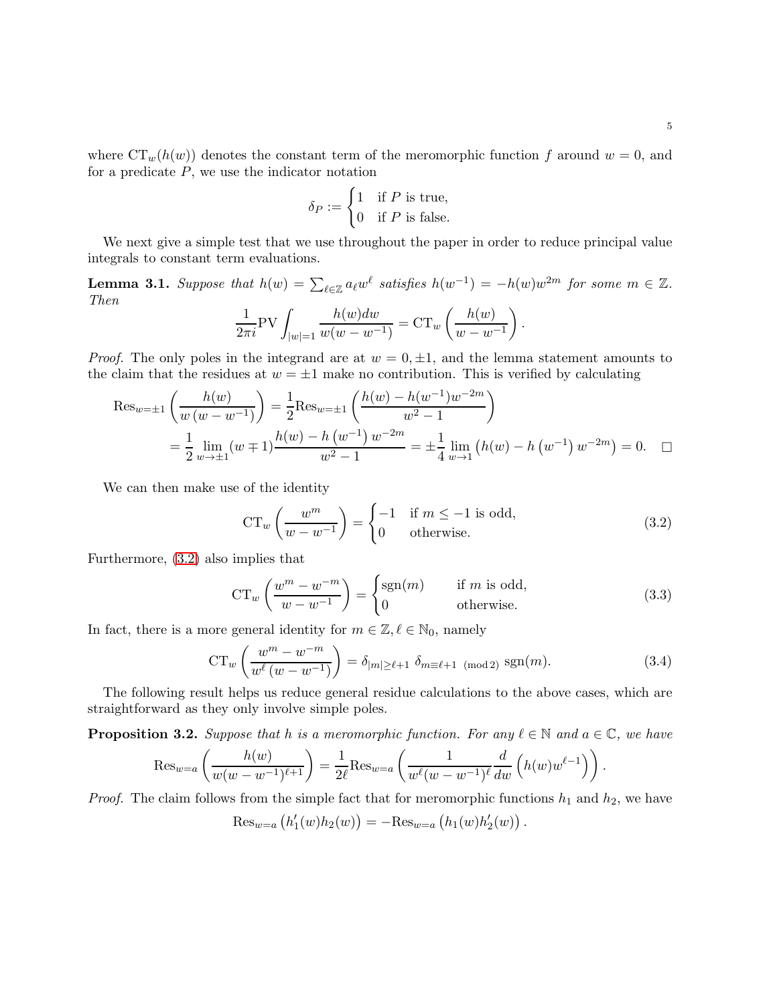where  $CT_w(h(w))$  denotes the constant term of the meromorphic function f around  $w = 0$ , and for a predicate  $P$ , we use the indicator notation

$$
\delta_P:=\begin{cases} 1 & \text{if } P \text{ is true},\\ 0 & \text{if } P \text{ is false}. \end{cases}
$$

We next give a simple test that we use throughout the paper in order to reduce principal value integrals to constant term evaluations.

<span id="page-4-2"></span>**Lemma 3.1.** Suppose that  $h(w) = \sum_{\ell \in \mathbb{Z}} a_{\ell} w^{\ell}$  satisfies  $h(w^{-1}) = -h(w)w^{2m}$  for some  $m \in \mathbb{Z}$ . Then

$$
\frac{1}{2\pi i} \text{PV} \int_{|w|=1} \frac{h(w)dw}{w(w - w^{-1})} = \text{CT}_{w} \left( \frac{h(w)}{w - w^{-1}} \right).
$$

*Proof.* The only poles in the integrand are at  $w = 0, \pm 1$ , and the lemma statement amounts to the claim that the residues at  $w = \pm 1$  make no contribution. This is verified by calculating

$$
\operatorname{Res}_{w=\pm 1} \left( \frac{h(w)}{w (w - w^{-1})} \right) = \frac{1}{2} \operatorname{Res}_{w=\pm 1} \left( \frac{h(w) - h(w^{-1})w^{-2m}}{w^2 - 1} \right)
$$
  
=  $\frac{1}{2} \lim_{w \to \pm 1} (w \mp 1) \frac{h(w) - h(w^{-1})w^{-2m}}{w^2 - 1} = \pm \frac{1}{4} \lim_{w \to 1} (h(w) - h(w^{-1})w^{-2m}) = 0.$ 

We can then make use of the identity

<span id="page-4-0"></span>
$$
\operatorname{CT}_w\left(\frac{w^m}{w - w^{-1}}\right) = \begin{cases} -1 & \text{if } m \le -1 \text{ is odd,} \\ 0 & \text{otherwise.} \end{cases}
$$
\n(3.2)

Furthermore, [\(3.2\)](#page-4-0) also implies that

<span id="page-4-3"></span>
$$
\operatorname{CT}_w \left( \frac{w^m - w^{-m}}{w - w^{-1}} \right) = \begin{cases} \operatorname{sgn}(m) & \text{if } m \text{ is odd,} \\ 0 & \text{otherwise.} \end{cases}
$$
 (3.3)

.

In fact, there is a more general identity for  $m \in \mathbb{Z}, \ell \in \mathbb{N}_0$ , namely

<span id="page-4-4"></span>
$$
\operatorname{CT}_w\left(\frac{w^m - w^{-m}}{w^\ell(w - w^{-1})}\right) = \delta_{|m| \ge \ell+1} \delta_{m \equiv \ell+1 \pmod{2}} \operatorname{sgn}(m). \tag{3.4}
$$

The following result helps us reduce general residue calculations to the above cases, which are straightforward as they only involve simple poles.

<span id="page-4-1"></span>**Proposition 3.2.** Suppose that h is a meromorphic function. For any  $\ell \in \mathbb{N}$  and  $a \in \mathbb{C}$ , we have

$$
\operatorname{Res}_{w=a}\left(\frac{h(w)}{w(w-w^{-1})^{\ell+1}}\right)=\frac{1}{2\ell}\operatorname{Res}_{w=a}\left(\frac{1}{w^{\ell}(w-w^{-1})^{\ell}}\frac{d}{dw}\left(h(w)w^{\ell-1}\right)\right).
$$

*Proof.* The claim follows from the simple fact that for meromorphic functions  $h_1$  and  $h_2$ , we have

$$
\operatorname{Res}_{w=a}\left(h'_1(w)h_2(w)\right)=-\operatorname{Res}_{w=a}\left(h_1(w)h'_2(w)\right)
$$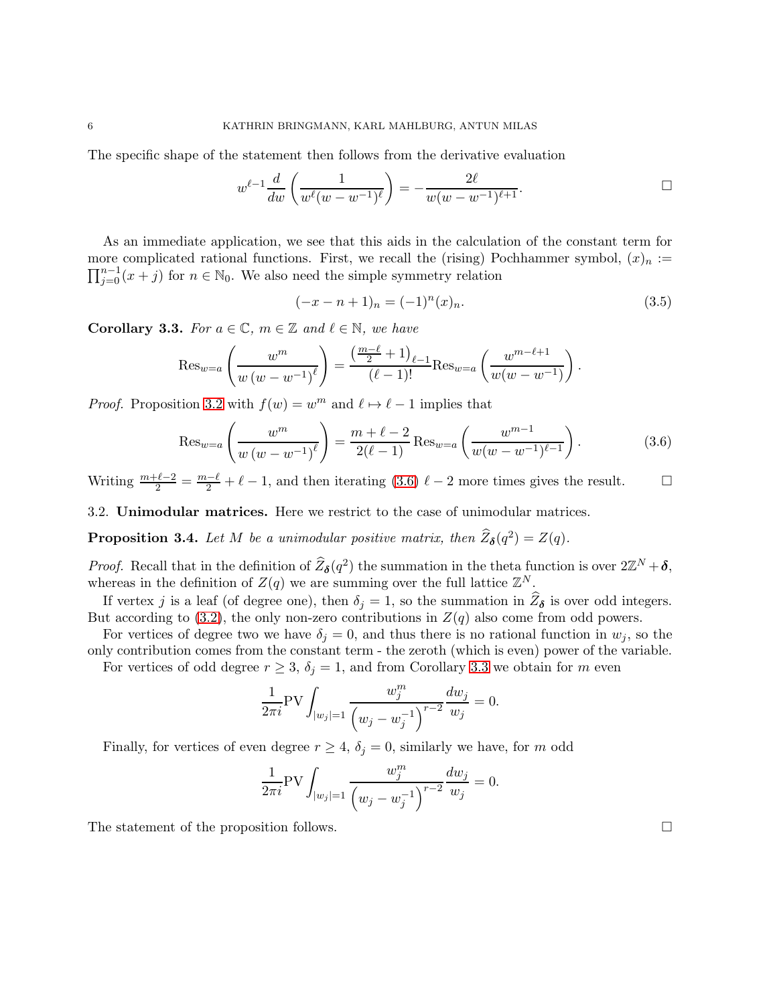The specific shape of the statement then follows from the derivative evaluation

$$
w^{\ell-1} \frac{d}{dw} \left( \frac{1}{w^{\ell}(w - w^{-1})^{\ell}} \right) = -\frac{2\ell}{w(w - w^{-1})^{\ell+1}}.
$$

As an immediate application, we see that this aids in the calculation of the constant term for more complicated rational functions. First, we recall the (rising) Pochhammer symbol,  $(x)_n :=$  $\prod_{j=0}^{n-1} (x + j)$  for  $n \in \mathbb{N}_0$ . We also need the simple symmetry relation

<span id="page-5-2"></span><span id="page-5-0"></span>
$$
(-x - n + 1)n = (-1)n(x)n.
$$
\n(3.5)

<span id="page-5-1"></span>**Corollary 3.3.** For  $a \in \mathbb{C}$ ,  $m \in \mathbb{Z}$  and  $\ell \in \mathbb{N}$ , we have

$$
\operatorname{Res}_{w=a} \left( \frac{w^m}{w (w - w^{-1})^\ell} \right) = \frac{\left( \frac{m - \ell}{2} + 1 \right)_{\ell - 1}}{(\ell - 1)!} \operatorname{Res}_{w=a} \left( \frac{w^{m - \ell + 1}}{w (w - w^{-1})} \right).
$$

*Proof.* Proposition [3.2](#page-4-1) with  $f(w) = w^m$  and  $\ell \mapsto \ell - 1$  implies that

$$
\operatorname{Res}_{w=a} \left( \frac{w^m}{w \left( w - w^{-1} \right)^{\ell}} \right) = \frac{m + \ell - 2}{2(\ell - 1)} \operatorname{Res}_{w=a} \left( \frac{w^{m-1}}{w(w - w^{-1})^{\ell - 1}} \right). \tag{3.6}
$$

Writing  $\frac{m+\ell-2}{2} = \frac{m-\ell}{2} + \ell - 1$ , and then iterating [\(3.6\)](#page-5-0)  $\ell - 2$  more times gives the result.

3.2. Unimodular matrices. Here we restrict to the case of unimodular matrices.

**Proposition 3.4.** Let M be a unimodular positive matrix, then  $\widehat{Z}_{\delta}(q^2) = Z(q)$ .

*Proof.* Recall that in the definition of  $\hat{Z}_{\delta}(q^2)$  the summation in the theta function is over  $2\mathbb{Z}^N + \delta$ , whereas in the definition of  $Z(q)$  we are summing over the full lattice  $\mathbb{Z}^N$ .

If vertex j is a leaf (of degree one), then  $\delta_j = 1$ , so the summation in  $Z_{\delta}$  is over odd integers. But according to [\(3.2\)](#page-4-0), the only non-zero contributions in  $Z(q)$  also come from odd powers.

For vertices of degree two we have  $\delta_i = 0$ , and thus there is no rational function in  $w_j$ , so the only contribution comes from the constant term - the zeroth (which is even) power of the variable.

For vertices of odd degree  $r \geq 3$ ,  $\delta_j = 1$ , and from Corollary [3.3](#page-5-1) we obtain for m even

$$
\frac{1}{2\pi i} \text{PV} \int_{|w_j|=1} \frac{w_j^m}{\left(w_j - w_j^{-1}\right)^{r-2}} \frac{dw_j}{w_j} = 0.
$$

Finally, for vertices of even degree  $r \geq 4$ ,  $\delta_j = 0$ , similarly we have, for m odd

$$
\frac{1}{2\pi i} \text{PV} \int_{|w_j|=1} \frac{w_j^m}{\left(w_j - w_j^{-1}\right)^{r-2}} \frac{dw_j}{w_j} = 0.
$$

The statement of the proposition follows.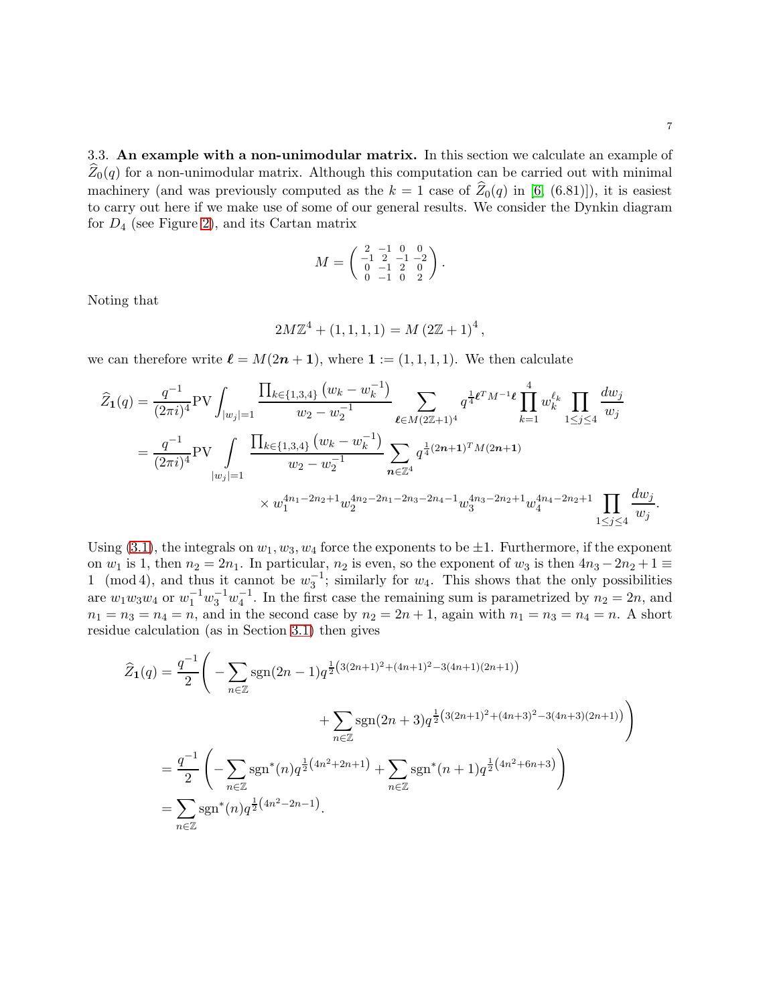3.3. An example with a non-unimodular matrix. In this section we calculate an example of  $Z_0(q)$  for a non-unimodular matrix. Although this computation can be carried out with minimal machinery (and was previously computed as the  $k = 1$  case of  $\hat{Z}_0(q)$  in [\[6,](#page-25-14) (6.81)]), it is easiest to carry out here if we make use of some of our general results. We consider the Dynkin diagram for  $D_4$  (see Figure [2\)](#page-14-0), and its Cartan matrix

$$
M = \begin{pmatrix} 2 & -1 & 0 & 0 \\ -1 & 2 & -1 & -2 \\ 0 & -1 & 2 & 0 \\ 0 & -1 & 0 & 2 \end{pmatrix}.
$$

Noting that

$$
2M\mathbb{Z}^{4} + (1, 1, 1, 1) = M (2\mathbb{Z} + 1)^{4},
$$

we can therefore write  $\ell = M(2n + 1)$ , where  $\mathbf{1} := (1, 1, 1, 1)$ . We then calculate

$$
\widehat{Z}_{1}(q) = \frac{q^{-1}}{(2\pi i)^{4}} \text{PV} \int_{|w_{j}|=1} \frac{\prod_{k \in \{1,3,4\}} (w_{k} - w_{k}^{-1})}{w_{2} - w_{2}^{-1}} \sum_{\ell \in M(2\mathbb{Z}+1)^{4}} q^{\frac{1}{4} \ell^{T} M^{-1} \ell} \prod_{k=1}^{4} w_{k}^{\ell_{k}} \prod_{1 \leq j \leq 4} \frac{dw_{j}}{w_{j}}
$$
\n
$$
= \frac{q^{-1}}{(2\pi i)^{4}} \text{PV} \int_{|w_{j}|=1} \frac{\prod_{k \in \{1,3,4\}} (w_{k} - w_{k}^{-1})}{w_{2} - w_{2}^{-1}} \sum_{n \in \mathbb{Z}^{4}} q^{\frac{1}{4}(2n+1)^{T} M (2n+1)}
$$
\n
$$
\times w_{1}^{4n_{1} - 2n_{2} + 1} w_{2}^{4n_{2} - 2n_{1} - 2n_{3} - 2n_{4} - 1} w_{3}^{4n_{3} - 2n_{2} + 1} w_{4}^{4n_{4} - 2n_{2} + 1} \prod_{1 \leq j \leq 4} \frac{dw_{j}}{w_{j}}.
$$

Using [\(3.1\)](#page-3-2), the integrals on  $w_1, w_3, w_4$  force the exponents to be  $\pm 1$ . Furthermore, if the exponent on  $w_1$  is 1, then  $n_2 = 2n_1$ . In particular,  $n_2$  is even, so the exponent of  $w_3$  is then  $4n_3 - 2n_2 + 1 \equiv$ 1 (mod 4), and thus it cannot be  $w_3^{-1}$ ; similarly for  $w_4$ . This shows that the only possibilities are  $w_1w_3w_4$  or  $w_1^{-1}w_3^{-1}w_4^{-1}$ . In the first case the remaining sum is parametrized by  $n_2 = 2n$ , and  $n_1 = n_3 = n_4 = n$ , and in the second case by  $n_2 = 2n + 1$ , again with  $n_1 = n_3 = n_4 = n$ . A short residue calculation (as in Section [3.1\)](#page-3-3) then gives

$$
\widehat{Z}_1(q) = \frac{q^{-1}}{2} \Bigg( -\sum_{n \in \mathbb{Z}} \operatorname{sgn}(2n-1) q^{\frac{1}{2}(3(2n+1)^2 + (4n+1)^2 - 3(4n+1)(2n+1))} + \sum_{n \in \mathbb{Z}} \operatorname{sgn}(2n+3) q^{\frac{1}{2}(3(2n+1)^2 + (4n+3)^2 - 3(4n+3)(2n+1))} \Bigg)
$$
  
= 
$$
\frac{q^{-1}}{2} \Bigg( -\sum_{n \in \mathbb{Z}} \operatorname{sgn}^*(n) q^{\frac{1}{2}(4n^2 + 2n + 1)} + \sum_{n \in \mathbb{Z}} \operatorname{sgn}^*(n+1) q^{\frac{1}{2}(4n^2 + 6n+3)} \Bigg)
$$
  
= 
$$
\sum_{n \in \mathbb{Z}} \operatorname{sgn}^*(n) q^{\frac{1}{2}(4n^2 - 2n - 1)}.
$$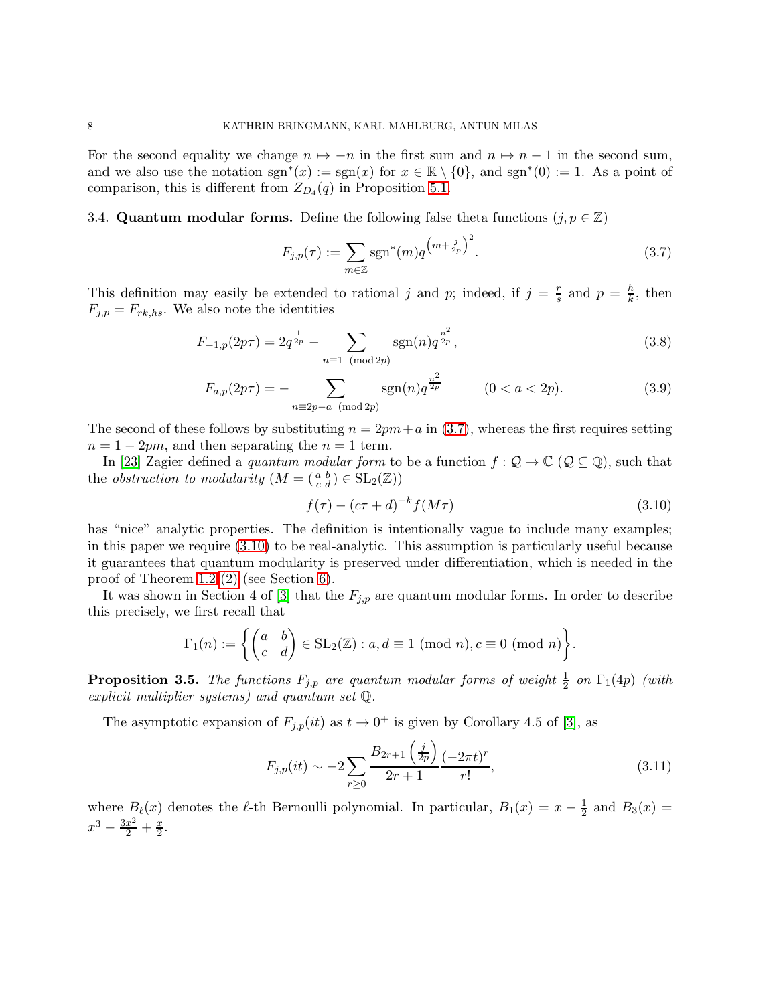For the second equality we change  $n \mapsto -n$  in the first sum and  $n \mapsto n-1$  in the second sum, and we also use the notation  $sgn^*(x) := sgn(x)$  for  $x \in \mathbb{R} \setminus \{0\}$ , and  $sgn^*(0) := 1$ . As a point of comparison, this is different from  $Z_{D_4}(q)$  in Proposition 5.1.

3.4. Quantum modular forms. Define the following false theta functions  $(j, p \in \mathbb{Z})$ 

<span id="page-7-3"></span><span id="page-7-0"></span>
$$
F_{j,p}(\tau) := \sum_{m \in \mathbb{Z}} \text{sgn}^*(m) q^{\left(m + \frac{j}{2p}\right)^2}.
$$
 (3.7)

This definition may easily be extended to rational j and p; indeed, if  $j = \frac{r}{s}$  $\frac{r}{s}$  and  $p = \frac{h}{k}$  $\frac{h}{k}$ , then  $F_{j,p} = F_{rk,hs}$ . We also note the identities

$$
F_{-1,p}(2p\tau) = 2q^{\frac{1}{2p}} - \sum_{n \equiv 1 \pmod{2p}} \operatorname{sgn}(n) q^{\frac{n^2}{2p}},\tag{3.8}
$$

$$
F_{a,p}(2p\tau) = -\sum_{n \equiv 2p-a \pmod{2p}} \text{sgn}(n) q^{\frac{n^2}{2p}} \qquad (0 < a < 2p). \tag{3.9}
$$

The second of these follows by substituting  $n = 2pm + a$  in [\(3.7\)](#page-7-0), whereas the first requires setting  $n = 1 - 2pm$ , and then separating the  $n = 1$  term.

In [\[23\]](#page-26-0) Zagier defined a *quantum modular form* to be a function  $f: \mathcal{Q} \to \mathbb{C}$  ( $\mathcal{Q} \subseteq \mathbb{Q}$ ), such that the *obstruction to modularity*  $(M = \begin{pmatrix} a & b \\ c & d \end{pmatrix} \in SL_2(\mathbb{Z})$ 

<span id="page-7-4"></span><span id="page-7-1"></span>
$$
f(\tau) - (c\tau + d)^{-k} f(M\tau) \tag{3.10}
$$

has "nice" analytic properties. The definition is intentionally vague to include many examples; in this paper we require [\(3.10\)](#page-7-1) to be real-analytic. This assumption is particularly useful because it guarantees that quantum modularity is preserved under differentiation, which is needed in the proof of Theorem 1.2 [\(2\)](#page-2-1) (see Section [6\)](#page-20-1).

It was shown in Section 4 of [\[3\]](#page-25-7) that the  $F_{j,p}$  are quantum modular forms. In order to describe this precisely, we first recall that

$$
\Gamma_1(n) := \left\{ \begin{pmatrix} a & b \\ c & d \end{pmatrix} \in SL_2(\mathbb{Z}) : a, d \equiv 1 \pmod{n}, c \equiv 0 \pmod{n} \right\}.
$$

<span id="page-7-5"></span>**Proposition 3.5.** The functions  $F_{j,p}$  are quantum modular forms of weight  $\frac{1}{2}$  on  $\Gamma_1(4p)$  (with explicit multiplier systems) and quantum set Q.

The asymptotic expansion of  $F_{j,p}(it)$  as  $t \to 0^+$  is given by Corollary 4.5 of [\[3\]](#page-25-7), as

<span id="page-7-2"></span>
$$
F_{j,p}(it) \sim -2\sum_{r\geq 0} \frac{B_{2r+1}\left(\frac{j}{2p}\right)}{2r+1} \frac{(-2\pi t)^r}{r!},\tag{3.11}
$$

where  $B_{\ell}(x)$  denotes the  $\ell$ -th Bernoulli polynomial. In particular,  $B_1(x) = x - \frac{1}{2}$  $rac{1}{2}$  and  $B_3(x) =$  $x^3 - \frac{3x^2}{2} + \frac{x}{2}$  $\frac{x}{2}$ .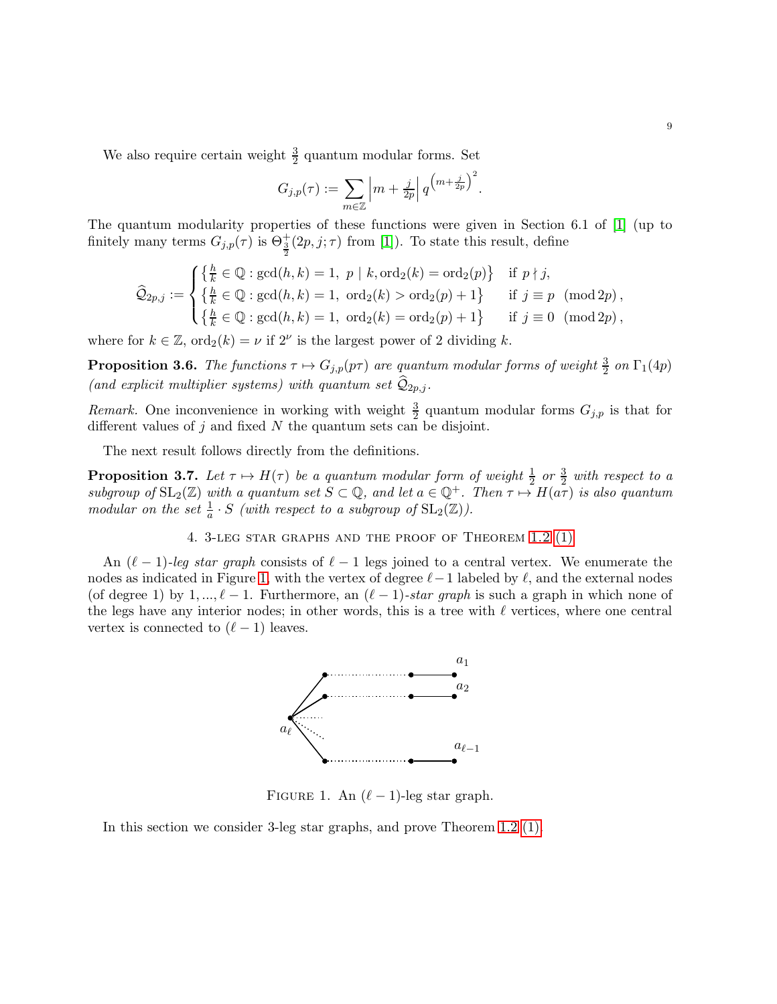We also require certain weight  $\frac{3}{2}$  quantum modular forms. Set

$$
G_{j,p}(\tau) := \sum_{m \in \mathbb{Z}} \left| m + \frac{j}{2p} \right| q^{\left( m + \frac{j}{2p} \right)^2}.
$$

The quantum modularity properties of these functions were given in Section 6.1 of [\[1\]](#page-25-16) (up to finitely many terms  $G_{j,p}(\tau)$  is  $\Theta_{\frac{3}{2}}^{+}(2p,j;\tau)$  from [\[1\]](#page-25-16)). To state this result, define

$$
\widehat{Q}_{2p,j} := \begin{cases} \left\{ \frac{h}{k} \in \mathbb{Q} : \gcd(h,k) = 1, \ p \mid k, \text{ord}_2(k) = \text{ord}_2(p) \right\} & \text{if } p \nmid j, \\ \left\{ \frac{h}{k} \in \mathbb{Q} : \gcd(h,k) = 1, \ \text{ord}_2(k) > \text{ord}_2(p) + 1 \right\} & \text{if } j \equiv p \pmod{2p}, \\ \left\{ \frac{h}{k} \in \mathbb{Q} : \gcd(h,k) = 1, \ \text{ord}_2(k) = \text{ord}_2(p) + 1 \right\} & \text{if } j \equiv 0 \pmod{2p}, \end{cases}
$$

where for  $k \in \mathbb{Z}$ ,  $\text{ord}_2(k) = \nu$  if  $2^{\nu}$  is the largest power of 2 dividing k.

<span id="page-8-1"></span>**Proposition 3.6.** The functions  $\tau \mapsto G_{j,p}(p\tau)$  are quantum modular forms of weight  $\frac{3}{2}$  on  $\Gamma_1(4p)$ (and explicit multiplier systems) with quantum set  $\widehat{Q}_{2p,j}$ .

Remark. One inconvenience in working with weight  $\frac{3}{2}$  quantum modular forms  $G_{j,p}$  is that for different values of  $i$  and fixed  $N$  the quantum sets can be disjoint.

The next result follows directly from the definitions.

<span id="page-8-2"></span>**Proposition 3.7.** Let  $\tau \mapsto H(\tau)$  be a quantum modular form of weight  $\frac{1}{2}$  or  $\frac{3}{2}$  with respect to a subgroup of  $SL_2(\mathbb{Z})$  with a quantum set  $S \subset \mathbb{Q}$ , and let  $a \in \mathbb{Q}^+$ . Then  $\tau \mapsto H(a\tau)$  is also quantum modular on the set  $\frac{1}{a} \cdot S$  (with respect to a subgroup of  $SL_2(\mathbb{Z})$ ).

4. 3-leg star graphs and the proof of Theorem 1.2 [\(1\)](#page-1-1)

An  $(\ell-1)$ -leg star graph consists of  $\ell-1$  legs joined to a central vertex. We enumerate the nodes as indicated in Figure [1,](#page-8-0) with the vertex of degree  $\ell-1$  labeled by  $\ell$ , and the external nodes (of degree 1) by 1, ...,  $\ell - 1$ . Furthermore, an  $(\ell - 1)$ -star graph is such a graph in which none of the legs have any interior nodes; in other words, this is a tree with  $\ell$  vertices, where one central vertex is connected to  $(\ell-1)$  leaves.



<span id="page-8-0"></span>FIGURE 1. An  $(\ell - 1)$ -leg star graph.

In this section we consider 3-leg star graphs, and prove Theorem 1.2 [\(1\).](#page-1-1)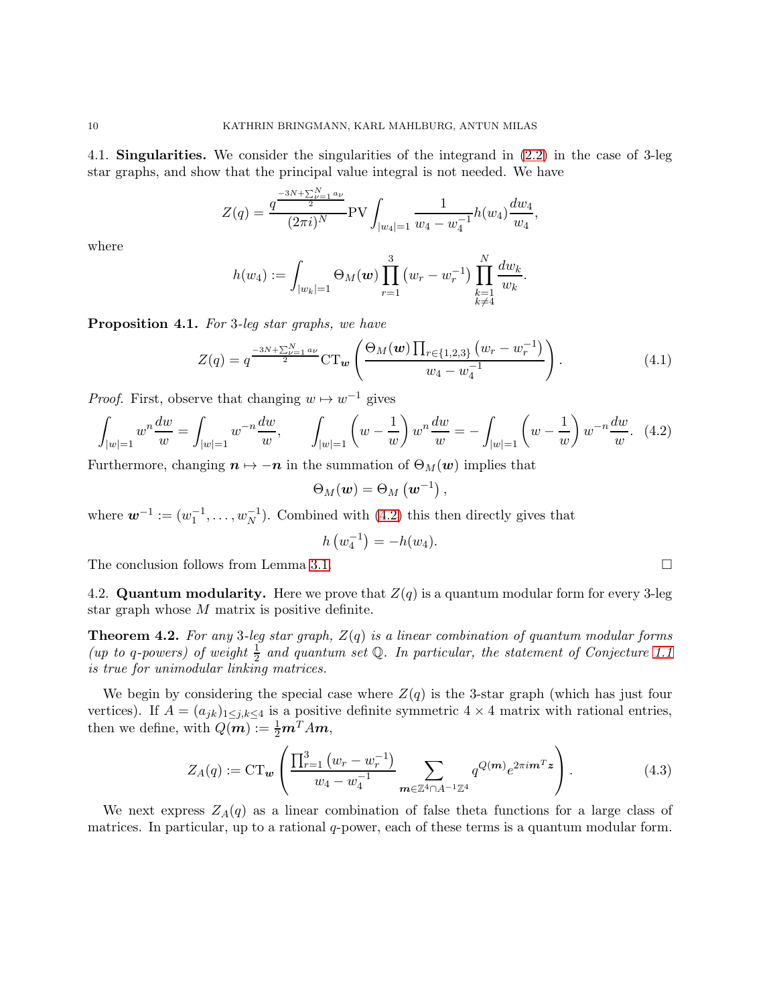<span id="page-9-5"></span>4.1. Singularities. We consider the singularities of the integrand in [\(2.2\)](#page-3-1) in the case of 3-leg star graphs, and show that the principal value integral is not needed. We have

$$
Z(q) = \frac{q^{\frac{-3N+\sum_{\nu=1}^{N} a_{\nu}}{2}}}{(2\pi i)^N} \text{PV} \int_{|w_4|=1} \frac{1}{w_4 - w_4^{-1}} h(w_4) \frac{dw_4}{w_4},
$$

where

$$
h(w_4) := \int_{|w_k|=1} \Theta_M(\boldsymbol{w}) \prod_{r=1}^3 \big( w_r - w_r^{-1} \big) \prod_{\substack{k=1 \\ k \neq 4}}^N \frac{dw_k}{w_k}.
$$

<span id="page-9-3"></span>Proposition 4.1. For 3-leq star graphs, we have

<span id="page-9-4"></span>
$$
Z(q) = q^{\frac{-3N + \sum_{\nu=1}^{N} a_{\nu}}{2}} C T_{\nu} \left( \frac{\Theta_M(\nu) \prod_{r \in \{1,2,3\}} (w_r - w_r^{-1})}{w_4 - w_4^{-1}} \right). \tag{4.1}
$$

*Proof.* First, observe that changing  $w \mapsto w^{-1}$  gives

$$
\int_{|w|=1} w^n \frac{dw}{w} = \int_{|w|=1} w^{-n} \frac{dw}{w}, \qquad \int_{|w|=1} \left( w - \frac{1}{w} \right) w^n \frac{dw}{w} = -\int_{|w|=1} \left( w - \frac{1}{w} \right) w^{-n} \frac{dw}{w}. \tag{4.2}
$$

Furthermore, changing  $n \mapsto -n$  in the summation of  $\Theta_M(w)$  implies that

$$
\Theta_M(\boldsymbol{w}) = \Theta_M(\boldsymbol{w}^{-1}),
$$

where  $\mathbf{w}^{-1} := (w_1^{-1}, \dots, w_N^{-1})$ . Combined with  $(4.2)$  this then directly gives that

$$
h(v_4^{-1}) = -h(w_4).
$$

The conclusion follows from Lemma [3.1.](#page-4-2)

4.2. **Quantum modularity.** Here we prove that  $Z(q)$  is a quantum modular form for every 3-leg star graph whose M matrix is positive definite.

<span id="page-9-0"></span>**Theorem 4.2.** For any 3-leg star graph,  $Z(q)$  is a linear combination of quantum modular forms (up to q-powers) of weight  $\frac{1}{2}$  and quantum set Q. In particular, the statement of Conjecture [1.1](#page-1-2) is true for unimodular linking matrices.

We begin by considering the special case where  $Z(q)$  is the 3-star graph (which has just four vertices). If  $A = (a_{jk})_{1 \leq j,k \leq 4}$  is a positive definite symmetric  $4 \times 4$  matrix with rational entries, then we define, with  $Q(m) := \frac{1}{2}m^{T}Am$ ,

<span id="page-9-2"></span>
$$
Z_A(q) := \mathrm{CT}_{\mathbf{w}} \left( \frac{\prod_{r=1}^3 \left( w_r - w_r^{-1} \right)}{w_4 - w_4^{-1}} \sum_{\mathbf{m} \in \mathbb{Z}^4 \cap A^{-1} \mathbb{Z}^4} q^{Q(\mathbf{m})} e^{2\pi i \mathbf{m}^T \mathbf{z}} \right).
$$
(4.3)

We next express  $Z_A(q)$  as a linear combination of false theta functions for a large class of matrices. In particular, up to a rational  $q$ -power, each of these terms is a quantum modular form.

<span id="page-9-1"></span>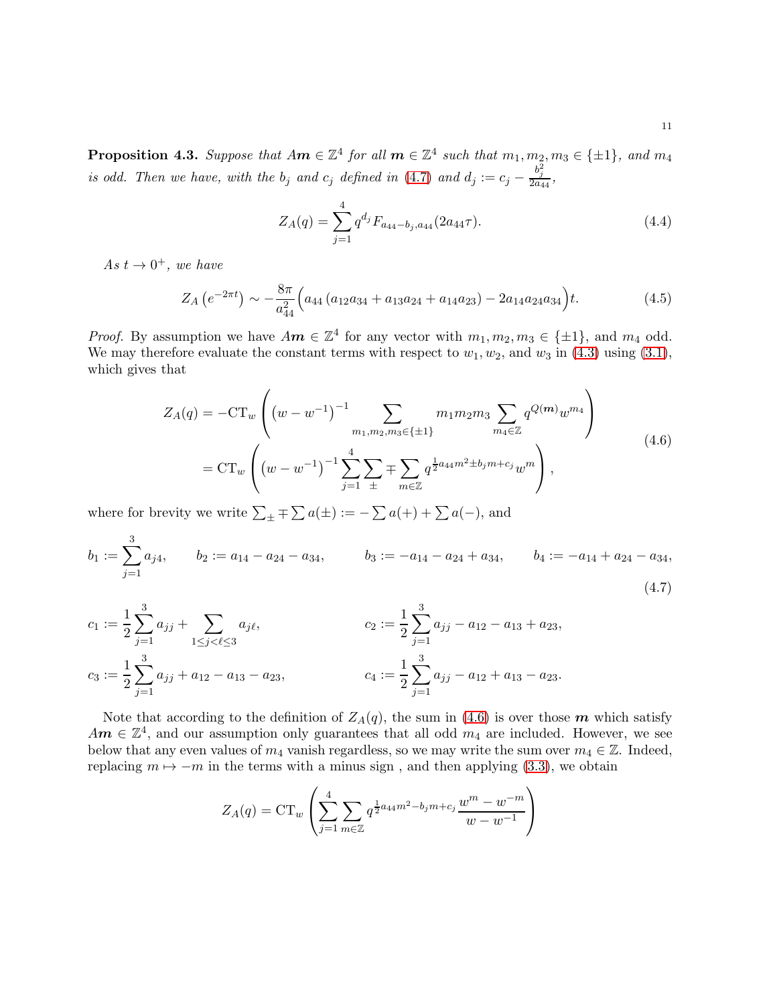<span id="page-10-4"></span>**Proposition 4.3.** Suppose that  $Am \in \mathbb{Z}^4$  for all  $m \in \mathbb{Z}^4$  such that  $m_1, m_2, m_3 \in \{\pm 1\}$ , and  $m_4$ is odd. Then we have, with the  $b_j$  and  $c_j$  defined in [\(4.7\)](#page-10-0) and  $d_j := c_j - \frac{b_j^2}{2a_{44}}$ ,

<span id="page-10-3"></span><span id="page-10-2"></span><span id="page-10-1"></span>
$$
Z_A(q) = \sum_{j=1}^{4} q^{d_j} F_{a_{44} - b_j, a_{44}}(2a_{44}\tau). \tag{4.4}
$$

As  $t \to 0^+$ , we have

$$
Z_A\left(e^{-2\pi t}\right) \sim -\frac{8\pi}{a_{44}^2} \Big(a_{44} \left(a_{12}a_{34} + a_{13}a_{24} + a_{14}a_{23}\right) - 2a_{14}a_{24}a_{34}\Big)t. \tag{4.5}
$$

*Proof.* By assumption we have  $Am \in \mathbb{Z}^4$  for any vector with  $m_1, m_2, m_3 \in \{\pm 1\}$ , and  $m_4$  odd. We may therefore evaluate the constant terms with respect to  $w_1, w_2$ , and  $w_3$  in [\(4.3\)](#page-9-2) using [\(3.1\)](#page-3-2), which gives that

$$
Z_A(q) = -CT_w \left( (w - w^{-1})^{-1} \sum_{m_1, m_2, m_3 \in \{\pm 1\}} m_1 m_2 m_3 \sum_{m_4 \in \mathbb{Z}} q^{Q(m)} w^{m_4} \right)
$$
  
=  $CT_w \left( (w - w^{-1})^{-1} \sum_{j=1}^4 \sum_{\pm} \mp \sum_{m \in \mathbb{Z}} q^{\frac{1}{2} a_{44} m^2 \pm b_j m + c_j} w^m \right),$  (4.6)

where for brevity we write  $\sum_{\pm} \mp \sum_{\pm} a(\pm) := -\sum_{\pm} a(+) + \sum_{\pm} a(-)$ , and  $\overline{2}$ 

$$
b_1 := \sum_{j=1}^3 a_{j4}, \qquad b_2 := a_{14} - a_{24} - a_{34}, \qquad b_3 := -a_{14} - a_{24} + a_{34}, \qquad b_4 := -a_{14} + a_{24} - a_{34}, \qquad (4.7)
$$

$$
c_1 := \frac{1}{2} \sum_{j=1}^3 a_{jj} + \sum_{1 \le j < \ell \le 3} a_{j\ell}, \qquad c_2 := \frac{1}{2} \sum_{j=1}^3 a_{jj} - a_{12} - a_{13} + a_{23},
$$
\n
$$
c_3 := \frac{1}{2} \sum_{j=1}^3 a_{jj} + a_{12} - a_{13} - a_{23}, \qquad c_4 := \frac{1}{2} \sum_{j=1}^3 a_{jj} - a_{12} + a_{13} - a_{23}.
$$

Note that according to the definition of  $Z_A(q)$ , the sum in [\(4.6\)](#page-10-1) is over those m which satisfy  $Am \in \mathbb{Z}^4$ , and our assumption only guarantees that all odd  $m_4$  are included. However, we see below that any even values of  $m_4$  vanish regardless, so we may write the sum over  $m_4 \in \mathbb{Z}$ . Indeed, replacing  $m \mapsto -m$  in the terms with a minus sign, and then applying [\(3.3\)](#page-4-3), we obtain

<span id="page-10-0"></span>
$$
Z_A(q) = \mathrm{CT}_w \left( \sum_{j=1}^4 \sum_{m \in \mathbb{Z}} q^{\frac{1}{2}a_{44}m^2 - b_j m + c_j} \frac{w^m - w^{-m}}{w - w^{-1}} \right)
$$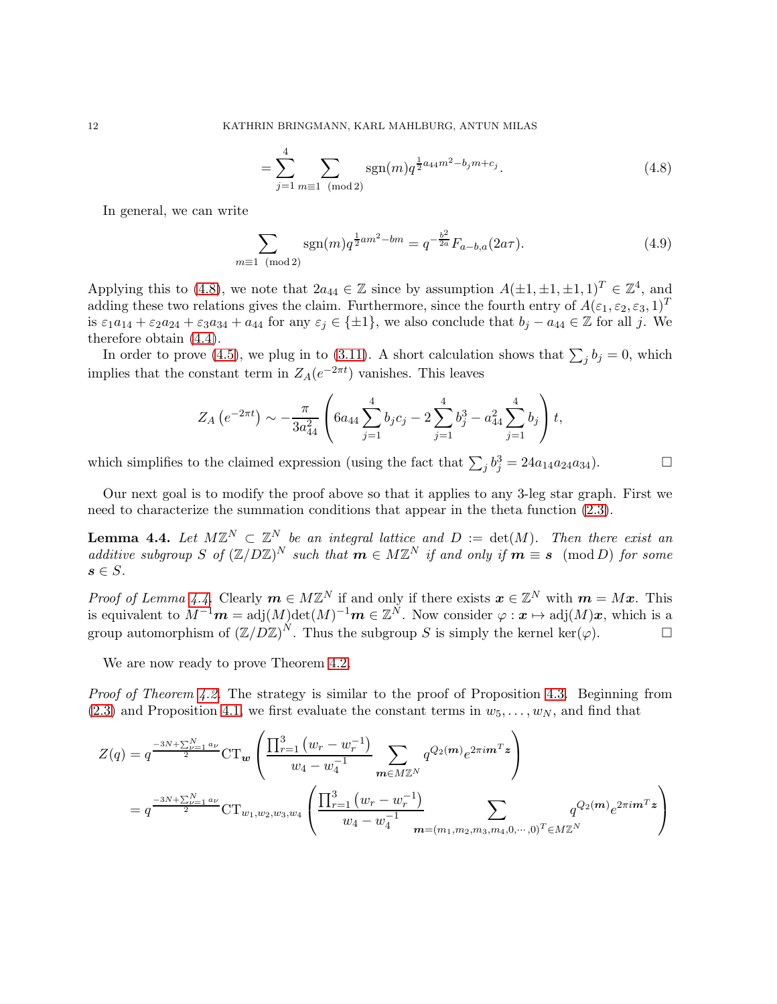<span id="page-11-2"></span><span id="page-11-0"></span>
$$
=\sum_{j=1}^{4}\sum_{m\equiv 1\pmod{2}}\text{sgn}(m)q^{\frac{1}{2}a_{44}m^{2}-b_{j}m+c_{j}}.
$$
\n(4.8)

In general, we can write

$$
\sum_{m\equiv 1 \pmod{2}} \text{sgn}(m) q^{\frac{1}{2}am^2 - bm} = q^{-\frac{b^2}{2a}} F_{a-b,a}(2a\tau). \tag{4.9}
$$

Applying this to [\(4.8\)](#page-11-0), we note that  $2a_{44} \in \mathbb{Z}$  since by assumption  $A(\pm 1, \pm 1, \pm 1, 1)^T \in \mathbb{Z}^4$ , and adding these two relations gives the claim. Furthermore, since the fourth entry of  $A(\varepsilon_1, \varepsilon_2, \varepsilon_3, 1)^T$ is  $\varepsilon_1a_{14} + \varepsilon_2a_{24} + \varepsilon_3a_{34} + a_{44}$  for any  $\varepsilon_j \in \{\pm 1\}$ , we also conclude that  $b_j - a_{44} \in \mathbb{Z}$  for all j. We therefore obtain [\(4.4\)](#page-10-2).

In order to prove [\(4.5\)](#page-10-3), we plug in to [\(3.11\)](#page-7-2). A short calculation shows that  $\sum_j b_j = 0$ , which implies that the constant term in  $Z_A(e^{-2\pi t})$  vanishes. This leaves

$$
Z_A\left(e^{-2\pi t}\right) \sim -\frac{\pi}{3a_{44}^2} \left(6a_{44} \sum_{j=1}^4 b_j c_j - 2 \sum_{j=1}^4 b_j^3 - a_{44}^2 \sum_{j=1}^4 b_j\right) t,
$$

which simplifies to the claimed expression (using the fact that  $\sum_j b_j^3 = 24a_{14}a_{24}a_{34}$ ).

Our next goal is to modify the proof above so that it applies to any 3-leg star graph. First we need to characterize the summation conditions that appear in the theta function [\(2.3\)](#page-3-4).

<span id="page-11-1"></span>**Lemma 4.4.** Let  $M\mathbb{Z}^N \subset \mathbb{Z}^N$  be an integral lattice and  $D := \det(M)$ . Then there exist an additive subgroup S of  $(\mathbb{Z}/D\mathbb{Z})^N$  such that  $m \in M\mathbb{Z}^N$  if and only if  $m \equiv s \pmod{D}$  for some  $s \in S$ .

Proof of Lemma [4.4.](#page-11-1) Clearly  $m \in M\mathbb{Z}^N$  if and only if there exists  $\boldsymbol{x} \in \mathbb{Z}^N$  with  $\boldsymbol{m} = M\boldsymbol{x}$ . This is equivalent to  $M^{-1}m = adj(M)\text{det}(M)^{-1}m \in \mathbb{Z}^N$ . Now consider  $\varphi : \pmb{x} \mapsto \text{adj}(M)\pmb{x}$ , which is a group automorphism of  $(\mathbb{Z}/D\mathbb{Z})^N$ . Thus the subgroup S is simply the kernel ker( $\varphi$ ).

We are now ready to prove Theorem [4.2.](#page-9-0)

Proof of Theorem [4.2.](#page-9-0) The strategy is similar to the proof of Proposition [4.3.](#page-10-4) Beginning from  $(2.3)$  and Proposition [4.1,](#page-9-3) we first evaluate the constant terms in  $w_5, \ldots, w_N$ , and find that

$$
Z(q) = q^{\frac{-3N + \sum_{\nu=1}^{N} a_{\nu}}{2}} CT_w \left( \frac{\prod_{r=1}^{3} (w_r - w_r^{-1})}{w_4 - w_4^{-1}} \sum_{m \in M \mathbb{Z}^N} q^{Q_2(m)} e^{2\pi i m^T z} \right)
$$
  
=  $q^{\frac{-3N + \sum_{\nu=1}^{N} a_{\nu}}{2}} CT_{w_1, w_2, w_3, w_4} \left( \frac{\prod_{r=1}^{3} (w_r - w_r^{-1})}{w_4 - w_4^{-1}} \sum_{m = (m_1, m_2, m_3, m_4, 0, \cdots, 0)^T \in M \mathbb{Z}^N} q^{Q_2(m)} e^{2\pi i m^T z} \right)$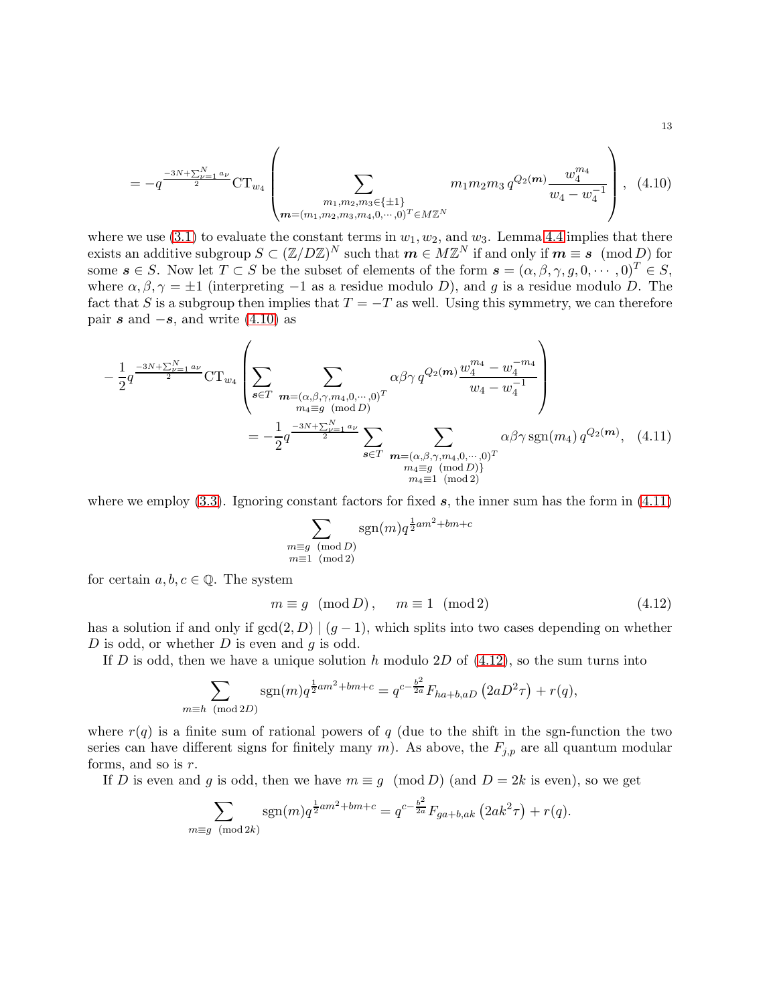$$
=-q^{\frac{-3N+\sum_{\nu=1}^{N}a_{\nu}}{2}}\mathrm{CT}_{w_{4}}\left(\sum_{\substack{m_{1},m_{2},m_{3}\in\{\pm1\}\\m=(m_{1},m_{2},m_{3},m_{4},0,\cdots,0)^{T}\in M\mathbb{Z}^{N}}}\frac{m_{1}m_{2}m_{3}q^{Q_{2}(m)}\frac{w_{4}^{m_{4}}}{w_{4}-w_{4}^{-1}}}{w_{4}-w_{4}^{-1}}\right),\quad(4.10)
$$

where we use [\(3.1\)](#page-3-2) to evaluate the constant terms in  $w_1, w_2$ , and  $w_3$ . Lemma [4.4](#page-11-1) implies that there exists an additive subgroup  $S \subset (\mathbb{Z}/D\mathbb{Z})^N$  such that  $m \in M\mathbb{Z}^N$  if and only if  $m \equiv s \pmod{D}$  for some  $s \in S$ . Now let  $T \subset S$  be the subset of elements of the form  $s = (\alpha, \beta, \gamma, g, 0, \dots, 0)^T \in S$ , where  $\alpha, \beta, \gamma = \pm 1$  (interpreting -1 as a residue modulo D), and g is a residue modulo D. The fact that S is a subgroup then implies that  $T = -T$  as well. Using this symmetry, we can therefore pair s and  $-s$ , and write [\(4.10\)](#page-12-0) as

$$
-\frac{1}{2}q^{\frac{-3N+\sum_{\nu=1}^{N}a_{\nu}}{2}}CT_{w_{4}}\left(\sum_{s\in T}\sum_{\substack{m=(\alpha,\beta,\gamma,m_{4},0,\cdots,0)^{T}\\m_{4}\equiv g\pmod{D}\\s\in T}}\alpha\beta\gamma q^{Q_{2}(m)}\frac{w_{4}^{m_{4}}-w_{4}^{-m_{4}}}{w_{4}-w_{4}^{-1}}\right)\\
= -\frac{1}{2}q^{\frac{-3N+\sum_{\nu=1}^{N}a_{\nu}}{2}}\sum_{\substack{s\in T\\m=(\alpha,\beta,\gamma,m_{4},0,\cdots,0)^{T}\\m_{4}\equiv g\pmod{D}\\m_{4}\equiv 1\pmod{2}}}\alpha\beta\gamma \operatorname{sgn}(m_{4})q^{Q_{2}(m)},\quad(4.11)
$$

where we employ  $(3.3)$ . Ignoring constant factors for fixed s, the inner sum has the form in  $(4.11)$ 

<span id="page-12-1"></span><span id="page-12-0"></span>
$$
\sum_{\substack{m\equiv g\pmod{D}\\m\equiv 1\pmod{2}}} \text{sgn}(m) q^{\frac{1}{2}am^2 + bm + c}
$$

for certain  $a, b, c \in \mathbb{Q}$ . The system

<span id="page-12-2"></span>
$$
m \equiv g \pmod{D}, \qquad m \equiv 1 \pmod{2} \tag{4.12}
$$

has a solution if and only if  $gcd(2, D) | (g - 1)$ , which splits into two cases depending on whether D is odd, or whether  $D$  is even and  $q$  is odd.

If D is odd, then we have a unique solution h modulo 2D of  $(4.12)$ , so the sum turns into

$$
\sum_{m \equiv h \pmod{2D}} \text{sgn}(m) q^{\frac{1}{2}am^2 + bm + c} = q^{c - \frac{b^2}{2a}} F_{ha + b, aD} \left( 2aD^2 \tau \right) + r(q),
$$

where  $r(q)$  is a finite sum of rational powers of q (due to the shift in the sgn-function the two series can have different signs for finitely many  $m$ ). As above, the  $F_{j,p}$  are all quantum modular forms, and so is  $r$ .

If D is even and g is odd, then we have  $m \equiv g \pmod{D}$  (and  $D = 2k$  is even), so we get

$$
\sum_{m \equiv g \pmod{2k}} sgn(m)q^{\frac{1}{2}am^2 + bm + c} = q^{c - \frac{b^2}{2a}} F_{ga + b,ak} \left(2ak^2 \tau\right) + r(q).
$$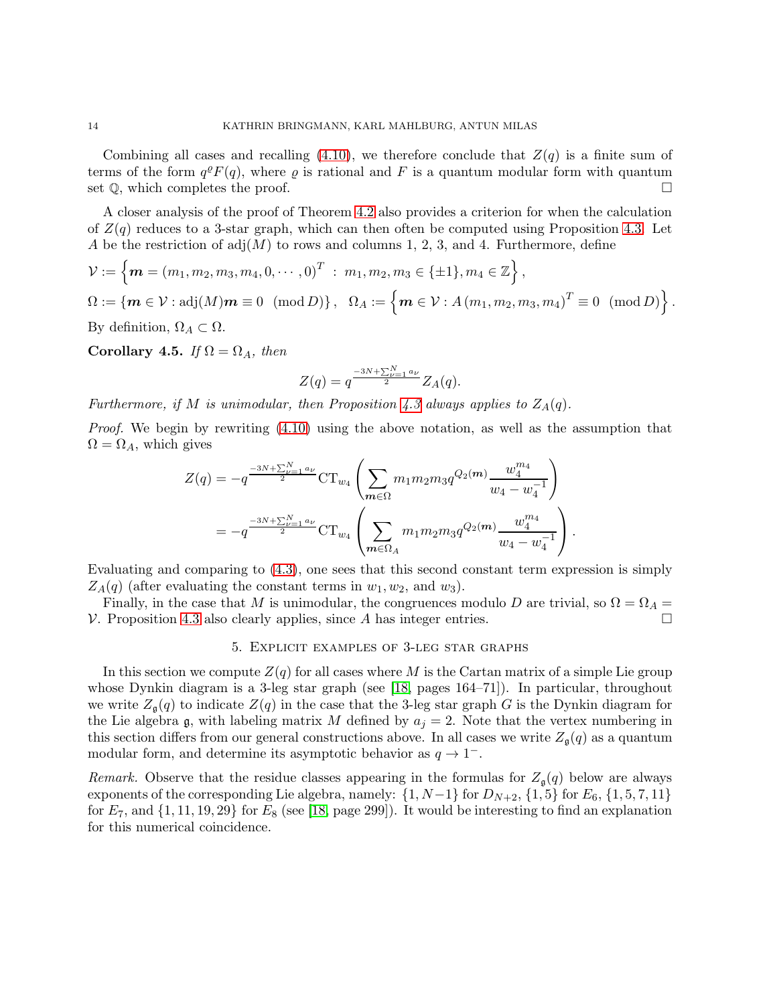Combining all cases and recalling  $(4.10)$ , we therefore conclude that  $Z(q)$  is a finite sum of terms of the form  $q^{\rho}F(q)$ , where  $\varrho$  is rational and F is a quantum modular form with quantum set  $\mathbb Q$ , which completes the proof.

A closer analysis of the proof of Theorem [4.2](#page-9-0) also provides a criterion for when the calculation of  $Z(q)$  reduces to a 3-star graph, which can then often be computed using Proposition [4.3.](#page-10-4) Let A be the restriction of  $adj(M)$  to rows and columns 1, 2, 3, and 4. Furthermore, define

$$
\mathcal{V} := \left\{ \mathbf{m} = (m_1, m_2, m_3, m_4, 0, \cdots, 0)^T : m_1, m_2, m_3 \in \{\pm 1\}, m_4 \in \mathbb{Z} \right\},
$$
  
\n
$$
\Omega := \left\{ \mathbf{m} \in \mathcal{V} : \text{adj}(M) \mathbf{m} \equiv 0 \pmod{D} \right\}, \quad \Omega_A := \left\{ \mathbf{m} \in \mathcal{V} : A \left( m_1, m_2, m_3, m_4 \right)^T \equiv 0 \pmod{D} \right\}.
$$
  
\nBy definition,  $\Omega_A \subset \Omega$ .

<span id="page-13-0"></span>Corollary 4.5. If  $\Omega = \Omega_A$ , then

$$
Z(q) = q^{\frac{-3N + \sum_{\nu=1}^{N} a_{\nu}}{2}} Z_A(q).
$$

Furthermore, if M is unimodular, then Proposition [4.3](#page-10-4) always applies to  $Z_A(q)$ .

Proof. We begin by rewriting  $(4.10)$  using the above notation, as well as the assumption that  $\Omega = \Omega_A$ , which gives

$$
Z(q) = -q^{\frac{-3N + \sum_{\nu=1}^{N} a_{\nu}}{2}} CT_{w_4} \left( \sum_{m \in \Omega} m_1 m_2 m_3 q^{Q_2(m)} \frac{w_4^{m_4}}{w_4 - w_4^{-1}} \right)
$$
  
= 
$$
-q^{\frac{-3N + \sum_{\nu=1}^{N} a_{\nu}}{2}} CT_{w_4} \left( \sum_{m \in \Omega_A} m_1 m_2 m_3 q^{Q_2(m)} \frac{w_4^{m_4}}{w_4 - w_4^{-1}} \right).
$$

Evaluating and comparing to [\(4.3\)](#page-9-2), one sees that this second constant term expression is simply  $Z_A(q)$  (after evaluating the constant terms in  $w_1, w_2$ , and  $w_3$ ).

Finally, in the case that M is unimodular, the congruences modulo D are trivial, so  $\Omega = \Omega_A =$  $V.$  Proposition [4.3](#page-10-4) also clearly applies, since A has integer entries.

### 5. Explicit examples of 3-leg star graphs

In this section we compute  $Z(q)$  for all cases where M is the Cartan matrix of a simple Lie group whose Dynkin diagram is a 3-leg star graph (see [\[18,](#page-25-17) pages 164–71]). In particular, throughout we write  $Z_{\mathfrak{a}}(q)$  to indicate  $Z(q)$  in the case that the 3-leg star graph G is the Dynkin diagram for the Lie algebra  $\mathfrak g$ , with labeling matrix M defined by  $a_j = 2$ . Note that the vertex numbering in this section differs from our general constructions above. In all cases we write  $Z_{\mathfrak{a}}(q)$  as a quantum modular form, and determine its asymptotic behavior as  $q \to 1^-$ .

Remark. Observe that the residue classes appearing in the formulas for  $Z_{\mathfrak{g}}(q)$  below are always exponents of the corresponding Lie algebra, namely:  $\{1, N-1\}$  for  $D_{N+2}$ ,  $\{1, 5\}$  for  $E_6$ ,  $\{1, 5, 7, 11\}$ for  $E_7$ , and  $\{1, 11, 19, 29\}$  for  $E_8$  (see [\[18,](#page-25-17) page 299]). It would be interesting to find an explanation for this numerical coincidence.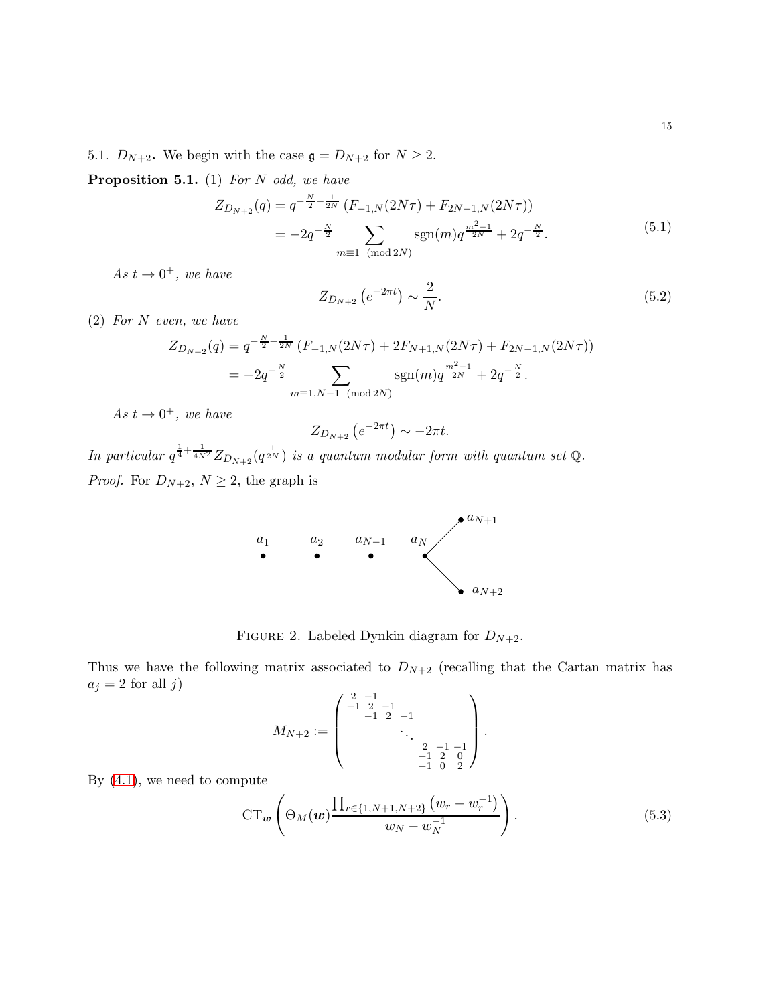5.1.  $D_{N+2}$ . We begin with the case  $\mathfrak{g} = D_{N+2}$  for  $N \geq 2$ .

**Proposition 5.1.** (1) For N odd, we have

<span id="page-14-2"></span>
$$
Z_{D_{N+2}}(q) = q^{-\frac{N}{2} - \frac{1}{2N}} \left( F_{-1,N}(2N\tau) + F_{2N-1,N}(2N\tau) \right)
$$
  
= 
$$
-2q^{-\frac{N}{2}} \sum_{m \equiv 1 \pmod{2N}} \text{sgn}(m) q^{\frac{m^2 - 1}{2N}} + 2q^{-\frac{N}{2}}.
$$
 (5.1)

As  $t \to 0^+,$  we have

<span id="page-14-3"></span>
$$
Z_{D_{N+2}}\left(e^{-2\pi t}\right) \sim \frac{2}{N}.\tag{5.2}
$$

(2) For N even, we have

$$
Z_{D_{N+2}}(q) = q^{-\frac{N}{2} - \frac{1}{2N}} \left( F_{-1,N}(2N\tau) + 2F_{N+1,N}(2N\tau) + F_{2N-1,N}(2N\tau) \right)
$$
  
=  $-2q^{-\frac{N}{2}} \sum_{m \equiv 1, N-1 \pmod{2N}} \text{sgn}(m) q^{\frac{m^2-1}{2N}} + 2q^{-\frac{N}{2}}.$ 

As  $t \to 0^+$ , we have

$$
Z_{D_{N+2}}\left(e^{-2\pi t}\right) \sim -2\pi t.
$$

In particular  $q^{\frac{1}{4} + \frac{1}{4N^2}} Z_{D_{N+2}}(q^{\frac{1}{2N}})$  is a quantum modular form with quantum set Q. *Proof.* For  $D_{N+2}$ ,  $N \geq 2$ , the graph is



FIGURE 2. Labeled Dynkin diagram for  $D_{N+2}$ .

Thus we have the following matrix associated to  $D_{N+2}$  (recalling that the Cartan matrix has  $a_j = 2$  for all  $j)$ 

<span id="page-14-0"></span>
$$
M_{N+2} := \left( \begin{array}{cccc} 2 & -1 & & & \\ -1 & 2 & -1 & & \\ & -1 & 2 & -1 & \\ & & \ddots & & \\ & & & -1 & 2 & 0 \\ & & & -1 & 2 & 0 \\ & & & -1 & 0 & 2 \end{array} \right).
$$

By [\(4.1\)](#page-9-4), we need to compute

<span id="page-14-1"></span>
$$
CT_w\left(\Theta_M(w)\frac{\prod_{r\in\{1,N+1,N+2\}}(w_r-w_r^{-1})}{w_N-w_N^{-1}}\right).
$$
\n(5.3)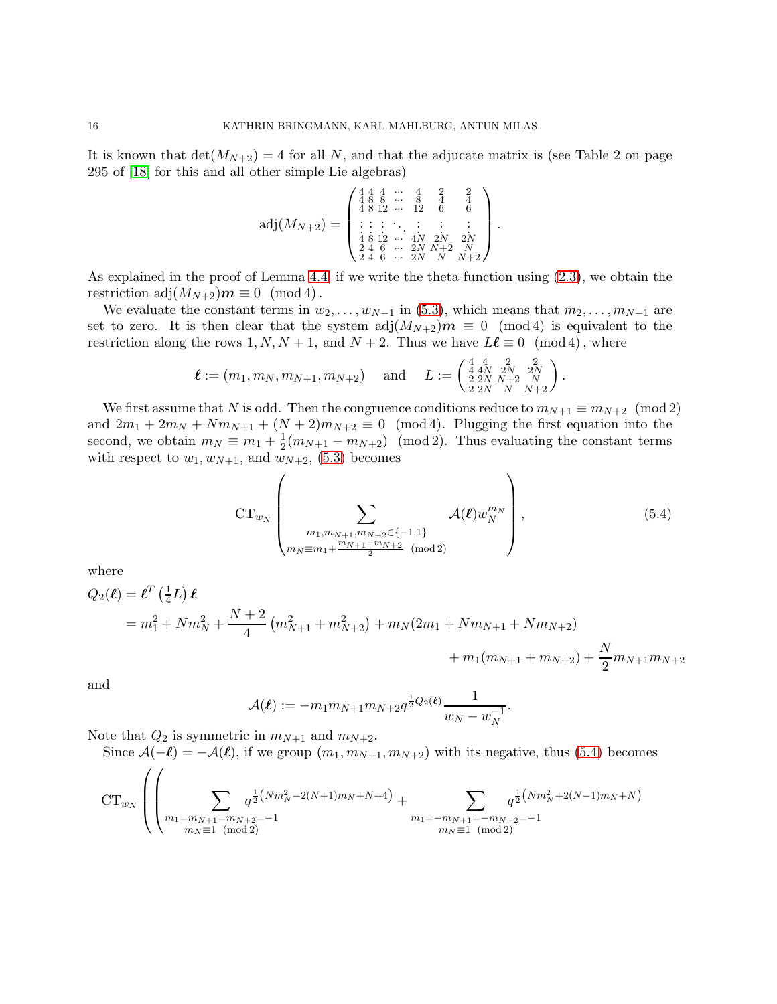It is known that  $\det(M_{N+2}) = 4$  for all N, and that the adjucate matrix is (see Table 2 on page 295 of [\[18\]](#page-25-17) for this and all other simple Lie algebras)

$$
\text{adj}(M_{N+2}) = \begin{pmatrix} 4 & 4 & 4 & \cdots & 4 & 2 & 2 \\ 4 & 8 & 8 & \cdots & 8 & 4 & 4 \\ 4 & 8 & 12 & \cdots & 12 & 6 & 6 \\ \vdots & \vdots & \vdots & \ddots & \vdots & \vdots & \vdots \\ 4 & 8 & 12 & \cdots & 4N & 2N \\ 2 & 4 & 6 & \cdots & 2N & N+2 & N \\ 2 & 4 & 6 & \cdots & 2N & N & N+2 \end{pmatrix}.
$$

As explained in the proof of Lemma [4.4,](#page-11-1) if we write the theta function using [\(2.3\)](#page-3-4), we obtain the restriction adj $(M_{N+2})m \equiv 0 \pmod{4}$ .

We evaluate the constant terms in  $w_2, \ldots, w_{N-1}$  in [\(5.3\)](#page-14-1), which means that  $m_2, \ldots, m_{N-1}$  are set to zero. It is then clear that the system  $adj(M_{N+2})m \equiv 0 \pmod{4}$  is equivalent to the restriction along the rows 1, N, N + 1, and N + 2. Thus we have  $L\ell \equiv 0 \pmod{4}$ , where

$$
\boldsymbol{\ell} := (m_1, m_N, m_{N+1}, m_{N+2}) \text{ and } L := \begin{pmatrix} 4 & 4 & 2 & 2 \\ 4 & 4N & 2N & 2N \\ 2 & 2N & N+2 & N \\ 2 & 2N & N & N+2 \end{pmatrix}.
$$

We first assume that N is odd. Then the congruence conditions reduce to  $m_{N+1} \equiv m_{N+2} \pmod{2}$ and  $2m_1 + 2m_N + Nm_{N+1} + (N+2)m_{N+2} \equiv 0 \pmod{4}$ . Plugging the first equation into the second, we obtain  $m_N \equiv m_1 + \frac{1}{2}$  $\frac{1}{2}(m_{N+1} - m_{N+2})$  (mod 2). Thus evaluating the constant terms with respect to  $w_1, w_{N+1}$ , and  $w_{N+2}$ , [\(5.3\)](#page-14-1) becomes

<span id="page-15-0"></span>
$$
\text{CT}_{w_N} \left( \sum_{\substack{m_1, m_{N+1}, m_{N+2} \in \{-1, 1\} \\ m_N \equiv m_1 + \frac{m_{N+1} - m_{N+2}}{2} \pmod{2}}} \mathcal{A}(\ell) w_N^{m_N} \right), \tag{5.4}
$$

.

where

$$
Q_2(\ell) = \ell^T \left(\frac{1}{4}L\right)\ell
$$
  
=  $m_1^2 + N m_N^2 + \frac{N+2}{4} \left(m_{N+1}^2 + m_{N+2}^2\right) + m_N (2m_1 + N m_{N+1} + N m_{N+2})$   
+  $m_1 (m_{N+1} + m_{N+2}) + \frac{N}{2} m_{N+1} m_{N+2}$ 

and

$$
\mathcal{A}(\boldsymbol{\ell}) := -m_1 m_{N+1} m_{N+2} q^{\frac{1}{2} Q_2(\boldsymbol{\ell})} \frac{1}{w_N - w_N^{-1}}
$$

Note that  $Q_2$  is symmetric in  $m_{N+1}$  and  $m_{N+2}$ .

Since  $\mathcal{A}(-\ell) = -\mathcal{A}(\ell)$ , if we group  $(m_1, m_{N+1}, m_{N+2})$  with its negative, thus [\(5.4\)](#page-15-0) becomes  $\sqrt{2}$ 

$$
CT_{w_N}\left( \left( \sum_{\substack{m_1=m_{N+1}=m_{N+2}=-1\\m_N\equiv 1\pmod{2}}} q^{\frac{1}{2}(Nm_N^2-2(N+1)m_N+N+4)} + \sum_{\substack{m_1=-m_{N+1}=-m_{N+2}=-1\\m_N\equiv 1\pmod{2}}} q^{\frac{1}{2}(Nm_N^2+2(N-1)m_N+N)} \right)
$$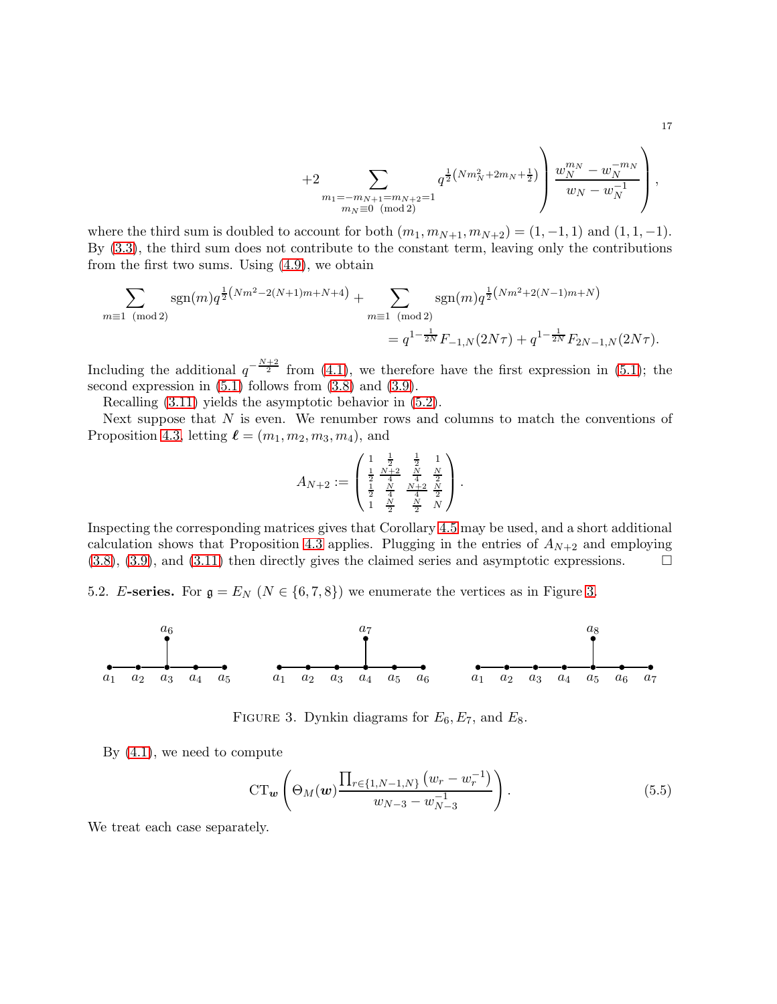+2\n
$$
+2\sum_{\substack{m_1=m_{N+1}=m_{N+2}=1\\m_N\equiv 0\pmod{2}}}\t q^{\frac{1}{2}\left(Nm_N^2+2m_N+\frac{1}{2}\right)}\left(\frac{w_N^{m_N}-w_N^{-m_N}}{w_N-w_N^{-1}}\right),
$$

where the third sum is doubled to account for both  $(m_1, m_{N+1}, m_{N+2}) = (1, -1, 1)$  and  $(1, 1, -1)$ . By [\(3.3\)](#page-4-3), the third sum does not contribute to the constant term, leaving only the contributions from the first two sums. Using [\(4.9\)](#page-11-2), we obtain

$$
\sum_{m\equiv 1\pmod{2}} \operatorname{sgn}(m) q^{\frac{1}{2}(Nm^2 - 2(N+1)m + N + 4)} + \sum_{m\equiv 1\pmod{2}} \operatorname{sgn}(m) q^{\frac{1}{2}(Nm^2 + 2(N-1)m + N)}
$$
  
=  $q^{1-\frac{1}{2N}} F_{-1,N}(2N\tau) + q^{1-\frac{1}{2N}} F_{2N-1,N}(2N\tau).$ 

Including the additional  $q^{-\frac{N+2}{2}}$  from [\(4.1\)](#page-9-4), we therefore have the first expression in [\(5.1\)](#page-14-2); the second expression in [\(5.1\)](#page-14-2) follows from [\(3.8\)](#page-7-3) and [\(3.9\)](#page-7-4).

Recalling [\(3.11\)](#page-7-2) yields the asymptotic behavior in [\(5.2\)](#page-14-3).

Next suppose that  $N$  is even. We renumber rows and columns to match the conventions of Proposition [4.3,](#page-10-4) letting  $\ell = (m_1, m_2, m_3, m_4)$ , and

$$
A_{N+2} := \begin{pmatrix} 1 & \frac{1}{2} & \frac{1}{2} & 1 \\ \frac{1}{2} & \frac{N+2}{4} & \frac{N}{4} & \frac{N}{2} \\ \frac{1}{2} & \frac{N}{4} & \frac{N+2}{4} & \frac{N}{2} \\ 1 & \frac{N}{2} & \frac{N}{2} & N \end{pmatrix}.
$$

Inspecting the corresponding matrices gives that Corollary [4.5](#page-13-0) may be used, and a short additional calculation shows that Proposition [4.3](#page-10-4) applies. Plugging in the entries of  $A_{N+2}$  and employing  $(3.8), (3.9),$  $(3.8), (3.9),$  $(3.8), (3.9),$  $(3.8), (3.9),$  and  $(3.11)$  then directly gives the claimed series and asymptotic expressions.

5.2. E-series. For  $\mathfrak{g} = E_N$  ( $N \in \{6, 7, 8\}$ ) we enumerate the vertices as in Figure [3.](#page-16-0)



FIGURE 3. Dynkin diagrams for  $E_6, E_7$ , and  $E_8$ .

By [\(4.1\)](#page-9-4), we need to compute

<span id="page-16-1"></span><span id="page-16-0"></span>
$$
CT_{\boldsymbol{w}}\left(\Theta_{M}(\boldsymbol{w})\frac{\prod_{r\in\{1,N-1,N\}}(w_r-w_r^{-1})}{w_{N-3}-w_{N-3}^{-1}}\right).
$$
\n(5.5)

We treat each case separately.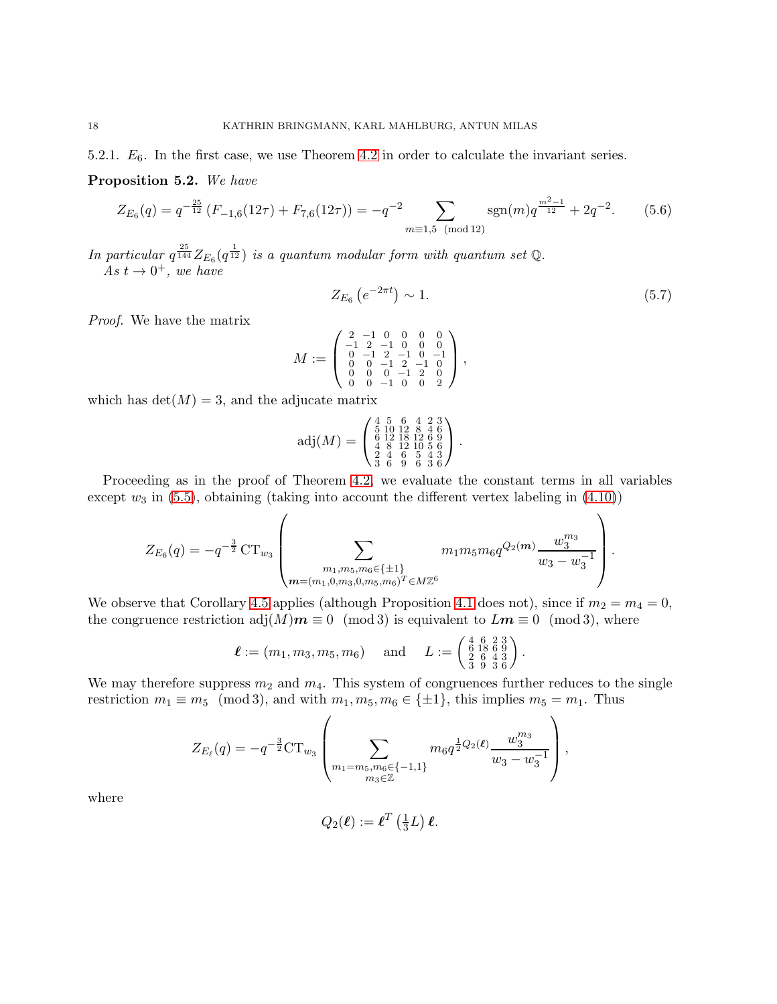5.2.1.  $E_6$ . In the first case, we use Theorem [4.2](#page-9-0) in order to calculate the invariant series.

Proposition 5.2. We have

$$
Z_{E_6}(q) = q^{-\frac{25}{12}} \left( F_{-1,6}(12\tau) + F_{7,6}(12\tau) \right) = -q^{-2} \sum_{m \equiv 1,5 \pmod{12}} \text{sgn}(m) q^{\frac{m^2 - 1}{12}} + 2q^{-2}.
$$
 (5.6)

In particular  $q^{\frac{25}{144}}Z_{E_6}(q^{\frac{1}{12}})$  is a quantum modular form with quantum set Q. As  $t \to 0^+$ , we have

<span id="page-17-1"></span><span id="page-17-0"></span>
$$
Z_{E_6} \left( e^{-2\pi t} \right) \sim 1. \tag{5.7}
$$

.

Proof. We have the matrix

$$
M:=\left(\begin{smallmatrix}2&-1&0&0&0&0\\-1&2&-1&0&0&0\\0&-1&2&-1&0&-1\\0&0&-1&2&-1&0\\0&0&0&-1&2&0\\0&0&-1&0&0&2\end{smallmatrix}\right),
$$

which has  $\det(M) = 3$ , and the adjucate matrix

$$
adj(M) = \begin{pmatrix} 4 & 5 & 6 & 4 & 2 & 3 \\ 5 & 10 & 12 & 8 & 4 & 6 \\ 6 & 12 & 18 & 12 & 6 & 9 \\ 4 & 8 & 12 & 10 & 5 & 6 \\ 2 & 4 & 6 & 5 & 4 & 3 \\ 3 & 6 & 9 & 6 & 3 & 6 \end{pmatrix}.
$$

Proceeding as in the proof of Theorem [4.2,](#page-9-0) we evaluate the constant terms in all variables except  $w_3$  in [\(5.5\)](#page-16-1), obtaining (taking into account the different vertex labeling in [\(4.10\)](#page-12-0))

$$
Z_{E_6}(q) = -q^{-\frac{3}{2}} \mathrm{CT}_{w_3} \left( \sum_{\substack{m_1, m_5, m_6 \in \{\pm 1\} \\ m = (m_1, 0, m_3, 0, m_5, m_6)^T \in M\mathbb{Z}^6}} m_1 m_5 m_6 q^{Q_2(m)} \frac{w_3^{m_3}}{w_3 - w_3^{-1}} \right).
$$

We observe that Corollary [4.5](#page-13-0) applies (although Proposition [4.1](#page-9-3) does not), since if  $m_2 = m_4 = 0$ , the congruence restriction adj $(M)\mathbf{m} \equiv 0 \pmod{3}$  is equivalent to  $L\mathbf{m} \equiv 0 \pmod{3}$ , where

$$
\ell := (m_1, m_3, m_5, m_6)
$$
 and  $L := \begin{pmatrix} 4 & 6 & 2 & 3 \\ 6 & 18 & 6 & 9 \\ 2 & 6 & 4 & 3 \\ 3 & 9 & 3 & 6 \end{pmatrix}$ 

We may therefore suppress  $m_2$  and  $m_4$ . This system of congruences further reduces to the single restriction  $m_1 \equiv m_5 \pmod{3}$ , and with  $m_1, m_5, m_6 \in {\pm 1}$ , this implies  $m_5 = m_1$ . Thus

$$
Z_{E_{\ell}}(q) = -q^{-\frac{3}{2}} \mathbf{CT}_{w_3} \left( \sum_{\substack{m_1 = m_5, m_6 \in \{-1, 1\} \\ m_3 \in \mathbb{Z}}} m_6 q^{\frac{1}{2} Q_2(\ell)} \frac{w_3^{m_3}}{w_3 - w_3^{-1}} \right),
$$

where

$$
Q_2(\boldsymbol{\ell}) := \boldsymbol{\ell}^T \left(\tfrac{1}{3}L\right) \boldsymbol{\ell}.
$$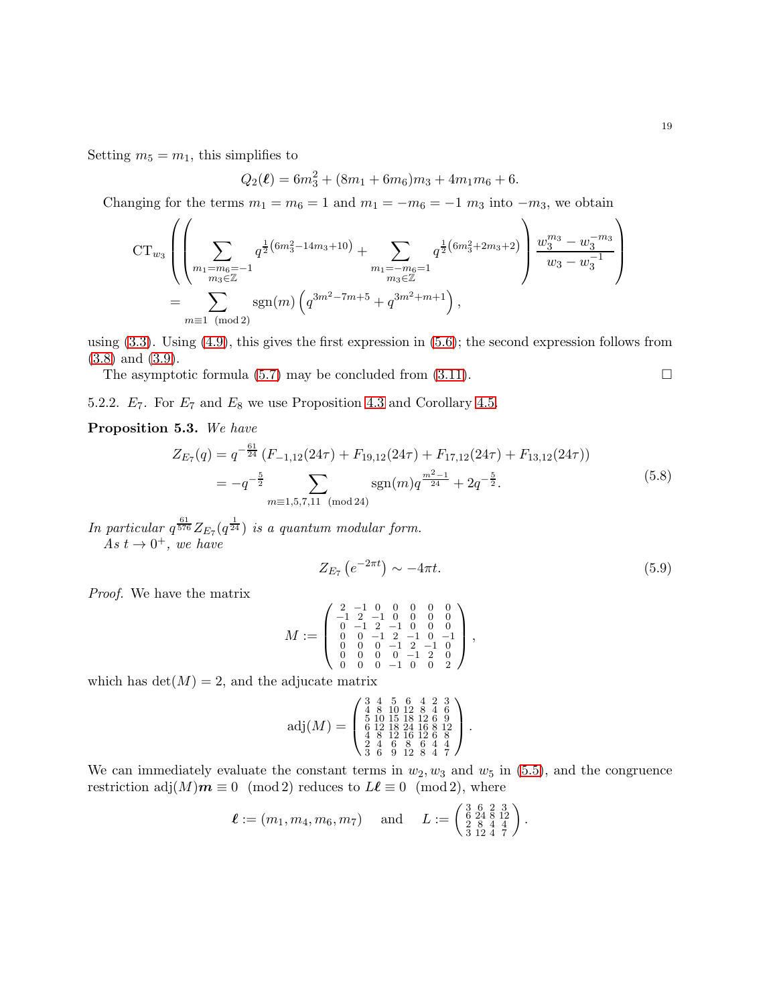Setting  $m_5 = m_1$ , this simplifies to

$$
Q_2(\ell) = 6m_3^2 + (8m_1 + 6m_6)m_3 + 4m_1m_6 + 6.
$$

Changing for the terms  $m_1 = m_6 = 1$  and  $m_1 = -m_6 = -1$   $m_3$  into  $-m_3$ , we obtain

$$
CT_{w_3}\left(\left(\sum_{m_1=m_6=-1}^{m_6=m-1} q^{\frac{1}{2}(6m_3^2-14m_3+10)} + \sum_{\substack{m_1=m_6=1\\m_3\in\mathbb{Z}}} q^{\frac{1}{2}(6m_3^2+2m_3+2)}\right)\frac{w_3^{m_3}-w_3^{-m_3}}{w_3-w_3^{-1}}\right)
$$
  
= 
$$
\sum_{m\equiv 1\pmod{2}} \text{sgn}(m)\left(q^{3m^2-7m+5}+q^{3m^2+m+1}\right),
$$

using  $(3.3)$ . Using  $(4.9)$ , this gives the first expression in  $(5.6)$ ; the second expression follows from [\(3.8\)](#page-7-3) and [\(3.9\)](#page-7-4).

The asymptotic formula [\(5.7\)](#page-17-1) may be concluded from [\(3.11\)](#page-7-2).  $\Box$ 

5.2.2.  $E_7$ . For  $E_7$  and  $E_8$  we use Proposition [4.3](#page-10-4) and Corollary [4.5.](#page-13-0)

#### Proposition 5.3. We have

<span id="page-18-0"></span>
$$
Z_{E7}(q) = q^{-\frac{61}{24}} (F_{-1,12}(24\tau) + F_{19,12}(24\tau) + F_{17,12}(24\tau) + F_{13,12}(24\tau))
$$
  
=  $-q^{-\frac{5}{2}}$ 
$$
\sum_{m \equiv 1,5,7,11 \pmod{24}} sgn(m)q^{\frac{m^2-1}{24}} + 2q^{-\frac{5}{2}}.
$$
 (5.8)

In particular  $q^{\frac{61}{576}}Z_{E_7}(q^{\frac{1}{24}})$  is a quantum modular form. As  $t \to 0^+$ , we have

<span id="page-18-1"></span>
$$
Z_{E_7}\left(e^{-2\pi t}\right) \sim -4\pi t. \tag{5.9}
$$

Proof. We have the matrix

$$
M:=\left(\begin{smallmatrix}2&-1&0&0&0&0&0\\-1&2&-1&0&0&0&0\\0&-1&2&-1&0&0&0\\0&0&-1&2&-1&0&-1\\0&0&0&-1&2&-1&0\\0&0&0&0&-1&2&0\\0&0&0&-1&0&0&2\end{smallmatrix}\right),
$$

which has  $det(M) = 2$ , and the adjucate matrix

$$
\text{adj}(M) = \left( \begin{smallmatrix} 3 & 4 & 5 & 6 & 4 & 2 & 3 \\ 4 & 8 & 10 & 12 & 8 & 4 & 6 \\ 5 & 10 & 15 & 18 & 12 & 6 & 9 \\ 6 & 12 & 18 & 24 & 16 & 8 & 12 \\ 4 & 8 & 12 & 16 & 12 & 6 & 8 \\ 2 & 4 & 6 & 8 & 2 & 4 & 4 \\ 3 & 6 & 9 & 12 & 8 & 4 & 7 \end{smallmatrix} \right).
$$

We can immediately evaluate the constant terms in  $w_2, w_3$  and  $w_5$  in [\(5.5\)](#page-16-1), and the congruence restriction adj $(M)$  $m \equiv 0 \pmod{2}$  reduces to  $L\ell \equiv 0 \pmod{2}$ , where

$$
\ell := (m_1, m_4, m_6, m_7)
$$
 and  $L := \begin{pmatrix} 3 & 6 & 2 & 3 \\ 6 & 24 & 8 & 12 \\ 2 & 8 & 4 & 4 \\ 3 & 12 & 4 & 7 \end{pmatrix}$ .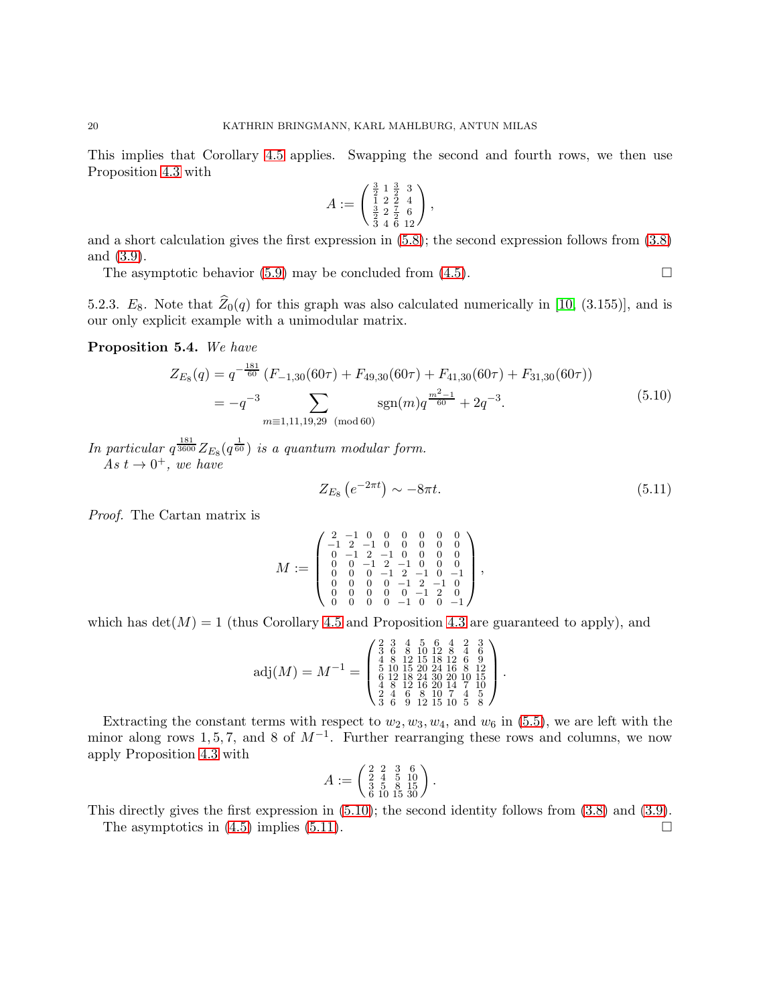This implies that Corollary [4.5](#page-13-0) applies. Swapping the second and fourth rows, we then use Proposition [4.3](#page-10-4) with

$$
A := \begin{pmatrix} \frac{3}{2} & 1 & \frac{3}{2} & 3 \\ 1 & 2 & 2 & 4 \\ \frac{3}{2} & 2 & \frac{7}{2} & 6 \\ 3 & 4 & 6 & 12 \end{pmatrix},
$$

and a short calculation gives the first expression in [\(5.8\)](#page-18-0); the second expression follows from [\(3.8\)](#page-7-3) and [\(3.9\)](#page-7-4).

The asymptotic behavior [\(5.9\)](#page-18-1) may be concluded from [\(4.5\)](#page-10-3).

5.2.3. E<sub>8</sub>. Note that  $\widehat{Z}_0(q)$  for this graph was also calculated numerically in [\[10,](#page-25-10) (3.155)], and is our only explicit example with a unimodular matrix.

Proposition 5.4. We have

<span id="page-19-0"></span>
$$
Z_{E_8}(q) = q^{-\frac{181}{60}} \left( F_{-1,30}(60\tau) + F_{49,30}(60\tau) + F_{41,30}(60\tau) + F_{31,30}(60\tau) \right)
$$
  
=  $-q^{-3} \sum_{m \equiv 1,11,19,29 \pmod{60}} \text{sgn}(m) q^{\frac{m^2-1}{60}} + 2q^{-3}.$  (5.10)

In particular  $q^{\frac{181}{3600}}Z_{E_8}(q^{\frac{1}{60}})$  is a quantum modular form. As  $t \to 0^+,$  we have

<span id="page-19-1"></span>
$$
Z_{E_8} \left( e^{-2\pi t} \right) \sim -8\pi t. \tag{5.11}
$$

Proof. The Cartan matrix is

$$
M:=\left(\begin{smallmatrix}2&-1&0&0&0&0&0&0\\-1&2&-1&0&0&0&0&0\\0&-1&2&-1&0&0&0&0\\0&0&-1&2&-1&0&0&0\\0&0&0&-1&2&-1&0&-1\\0&0&0&0&-1&2&-1&0\\0&0&0&0&-1&2&0\\0&0&0&0&-1&2&0\\0&0&0&0&-1&0&-1\end{smallmatrix}\right),
$$

which has  $det(M) = 1$  (thus Corollary [4.5](#page-13-0) and Proposition [4.3](#page-10-4) are guaranteed to apply), and

$$
adj(M) = M^{-1} = \begin{pmatrix} 2 & 3 & 4 & 5 & 6 & 4 & 2 & 3 \\ 3 & 6 & 8 & 10 & 12 & 8 & 4 & 6 \\ 4 & 8 & 12 & 15 & 18 & 12 & 6 & 9 \\ 5 & 10 & 15 & 20 & 24 & 16 & 8 & 12 \\ 6 & 12 & 18 & 24 & 30 & 20 & 10 & 15 \\ 4 & 8 & 12 & 16 & 20 & 14 & 7 & 10 \\ 3 & 6 & 9 & 12 & 15 & 10 & 5 & 8 \end{pmatrix}.
$$

Extracting the constant terms with respect to  $w_2, w_3, w_4$ , and  $w_6$  in [\(5.5\)](#page-16-1), we are left with the minor along rows 1, 5, 7, and 8 of  $M^{-1}$ . Further rearranging these rows and columns, we now apply Proposition [4.3](#page-10-4) with

$$
A := \begin{pmatrix} 2 & 2 & 3 & 6 \\ 2 & 4 & 5 & 10 \\ 3 & 5 & 8 & 15 \\ 6 & 10 & 15 & 30 \end{pmatrix}.
$$

This directly gives the first expression in [\(5.10\)](#page-19-0); the second identity follows from [\(3.8\)](#page-7-3) and [\(3.9\)](#page-7-4).

The asymptotics in  $(4.5)$  implies  $(5.11)$ .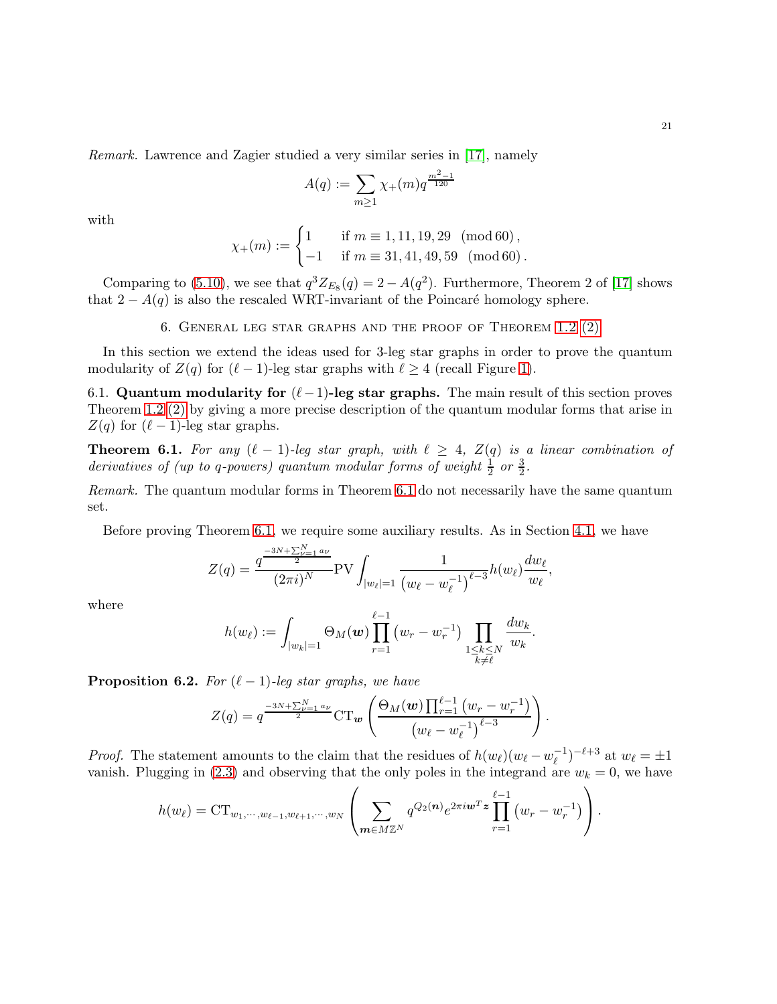Remark. Lawrence and Zagier studied a very similar series in [\[17\]](#page-25-3), namely

$$
A(q) := \sum_{m \ge 1} \chi_{+}(m) q^{\frac{m^2 - 1}{120}}
$$

with

$$
\chi_{+}(m):=\begin{cases}1 & \text{if } m\equiv 1,11,19,29 \pmod{60},\\ -1 & \text{if } m\equiv 31,41,49,59 \pmod{60}. \end{cases}
$$

<span id="page-20-1"></span>Comparing to [\(5.10\)](#page-19-0), we see that  $q^3 Z_{E_8}(q) = 2 - A(q^2)$ . Furthermore, Theorem 2 of [\[17\]](#page-25-3) shows that  $2 - A(q)$  is also the rescaled WRT-invariant of the Poincaré homology sphere.

6. General leg star graphs and the proof of Theorem 1.2 [\(2\)](#page-2-1)

In this section we extend the ideas used for 3-leg star graphs in order to prove the quantum modularity of  $Z(q)$  for  $(\ell-1)$ -leg star graphs with  $\ell \geq 4$  (recall Figure [1\)](#page-8-0).

6.1. Quantum modularity for  $(\ell-1)$ -leg star graphs. The main result of this section proves Theorem 1.2 [\(2\)](#page-2-1) by giving a more precise description of the quantum modular forms that arise in  $Z(q)$  for  $(\ell-1)$ -leg star graphs.

<span id="page-20-0"></span>**Theorem 6.1.** For any  $(\ell - 1)$ -leg star graph, with  $\ell \geq 4$ ,  $Z(q)$  is a linear combination of derivatives of (up to q-powers) quantum modular forms of weight  $\frac{1}{2}$  or  $\frac{3}{2}$ .

Remark. The quantum modular forms in Theorem [6.1](#page-20-0) do not necessarily have the same quantum set.

Before proving Theorem [6.1,](#page-20-0) we require some auxiliary results. As in Section [4.1,](#page-9-5) we have

$$
Z(q) = \frac{q^{\frac{-3N + \sum_{\nu=1}^N a_{\nu}}{2}}}{(2\pi i)^N} \text{PV} \int_{|w_{\ell}|=1} \frac{1}{(w_{\ell} - w_{\ell}^{-1})^{\ell-3}} h(w_{\ell}) \frac{dw_{\ell}}{w_{\ell}},
$$

where

$$
h(w_{\ell}) := \int_{|w_k|=1} \Theta_M(\boldsymbol{w}) \prod_{r=1}^{\ell-1} (w_r - w_r^{-1}) \prod_{\substack{1 \leq k \leq N \\ k \neq \ell}} \frac{dw_k}{w_k}.
$$

<span id="page-20-2"></span>**Proposition 6.2.** For  $(\ell - 1)$ -leg star graphs, we have

$$
Z(q) = q^{\frac{-3N + \sum_{\nu=1}^{N} a_{\nu}}{2}} C T_{\nu} \left( \frac{\Theta_M(\nu) \prod_{r=1}^{\ell-1} (w_r - w_r^{-1})}{(w_{\ell} - w_{\ell}^{-1})^{\ell-3}} \right).
$$

*Proof.* The statement amounts to the claim that the residues of  $h(w_{\ell})(w_{\ell} - w_{\ell}^{-1})$  $(v_{\ell}^{-1})^{-\ell+3}$  at  $w_{\ell} = \pm 1$ vanish. Plugging in [\(2.3\)](#page-3-4) and observing that the only poles in the integrand are  $w_k = 0$ , we have

$$
h(w_{\ell}) = CT_{w_1, \dots, w_{\ell-1}, w_{\ell+1}, \dots, w_N} \left( \sum_{m \in M \mathbb{Z}^N} q^{Q_2(n)} e^{2\pi i w^T z} \prod_{r=1}^{\ell-1} (w_r - w_r^{-1}) \right).
$$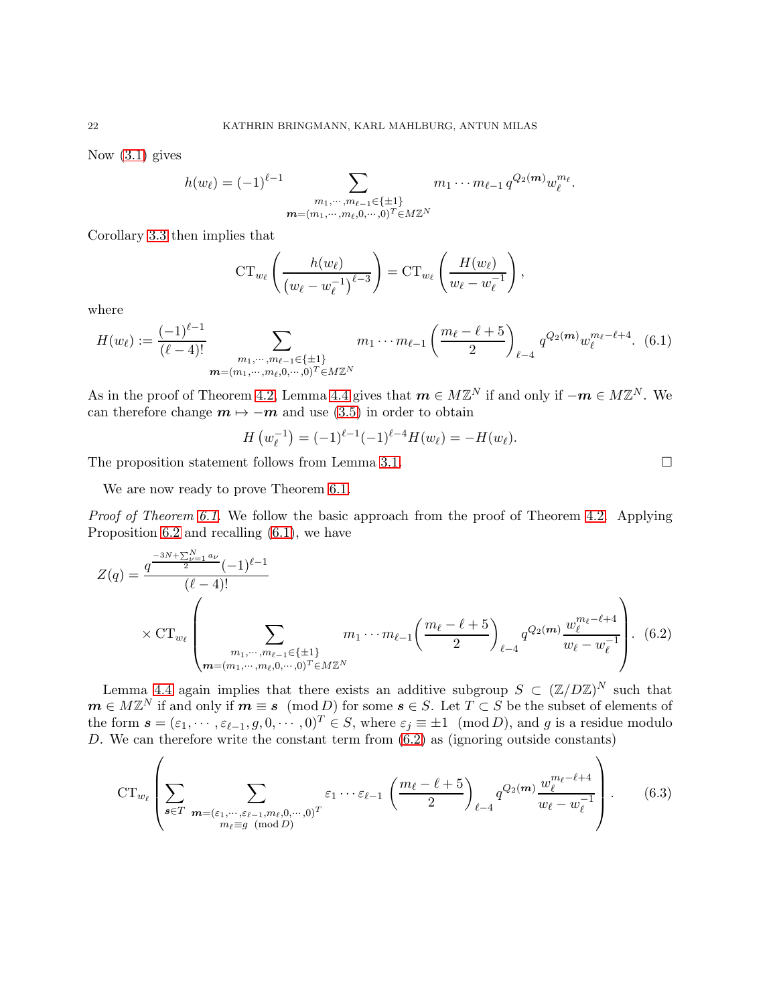Now [\(3.1\)](#page-3-2) gives

$$
h(w_{\ell}) = (-1)^{\ell-1} \sum_{\substack{m_1, \cdots, m_{\ell-1} \in \{\pm 1\} \\ m = (m_1, \cdots, m_{\ell}, 0, \cdots, 0)^T \in M\mathbb{Z}^N}} m_1 \cdots m_{\ell-1} q^{Q_2(m)} w_{\ell}^{m_{\ell}}.
$$

Corollary [3.3](#page-5-1) then implies that

$$
\mathrm{CT}_{w_{\ell}}\left(\frac{h(w_{\ell})}{(w_{\ell}-w_{\ell}^{-1})^{\ell-3}}\right)=\mathrm{CT}_{w_{\ell}}\left(\frac{H(w_{\ell})}{w_{\ell}-w_{\ell}^{-1}}\right),\,
$$

where

<span id="page-21-0"></span>
$$
H(w_{\ell}) := \frac{(-1)^{\ell-1}}{(\ell-4)!} \sum_{\substack{m_1, \dots, m_{\ell-1} \in \{\pm 1\} \\ m = (m_1, \dots, m_{\ell}, 0, \dots, 0)^T \in M\mathbb{Z}^N}} m_1 \cdots m_{\ell-1} \left(\frac{m_{\ell} - \ell + 5}{2}\right)_{\ell-4} q^{Q_2(m)} w_{\ell}^{m_{\ell} - \ell + 4}.
$$
 (6.1)

As in the proof of Theorem [4.2,](#page-9-0) Lemma [4.4](#page-11-1) gives that  $\boldsymbol{m} \in M\mathbb{Z}^N$  if and only if  $-\boldsymbol{m} \in M\mathbb{Z}^N$ . We can therefore change  $m \mapsto -m$  and use [\(3.5\)](#page-5-2) in order to obtain

$$
H\left(w_{\ell}^{-1}\right) = (-1)^{\ell-1}(-1)^{\ell-4}H(w_{\ell}) = -H(w_{\ell}).
$$

The proposition statement follows from Lemma [3.1.](#page-4-2)

We are now ready to prove Theorem [6.1.](#page-20-0)

Proof of Theorem [6.1.](#page-20-0) We follow the basic approach from the proof of Theorem [4.2.](#page-9-0) Applying Proposition [6.2](#page-20-2) and recalling [\(6.1\)](#page-21-0), we have

$$
Z(q) = \frac{q^{\frac{-3N + \sum_{\nu=1}^{N} a_{\nu}}{2}} (-1)^{\ell-1}}{(\ell-4)!}
$$
  
×  $CT_{w_{\ell}}$ 
$$
\left(\sum_{\substack{m_1, \cdots, m_{\ell-1} \in \{\pm 1\} \\ m = (m_1, \cdots, m_{\ell}, 0, \cdots, 0)^T \in M\mathbb{Z}^N}} m_1 \cdots m_{\ell-1} \left(\frac{m_{\ell} - \ell + 5}{2}\right)_{\ell-4} q^{Q_2(m)} \frac{w_{\ell}^{m_{\ell} - \ell + 4}}{w_{\ell} - w_{\ell}^{-1}}\right).
$$
 (6.2)

Lemma [4.4](#page-11-1) again implies that there exists an additive subgroup  $S \subset (\mathbb{Z}/D\mathbb{Z})^N$  such that  $m \in M\mathbb{Z}^N$  if and only if  $m \equiv s \pmod{D}$  for some  $s \in S$ . Let  $T \subset S$  be the subset of elements of the form  $\mathbf{s} = (\varepsilon_1, \dots, \varepsilon_{\ell-1}, g, 0, \dots, 0)^T \in S$ , where  $\varepsilon_j \equiv \pm 1 \pmod{D}$ , and g is a residue modulo D. We can therefore write the constant term from [\(6.2\)](#page-21-1) as (ignoring outside constants)

$$
\operatorname{CT}_{w_{\ell}}\left(\sum_{\mathbf{s}\in T}\sum_{\substack{\mathbf{m}=(\varepsilon_1,\cdots,\varepsilon_{\ell-1},m_{\ell},0,\cdots,0)^T\\m_{\ell}\equiv g\pmod{D}}}\varepsilon_1\cdots\varepsilon_{\ell-1}\left(\frac{m_{\ell}-\ell+5}{2}\right)_{\ell-4}q^{Q_2(\mathbf{m})}\frac{w_{\ell}^{m_{\ell}-\ell+4}}{w_{\ell}-w_{\ell}^{-1}}\right).
$$
(6.3)

<span id="page-21-2"></span><span id="page-21-1"></span>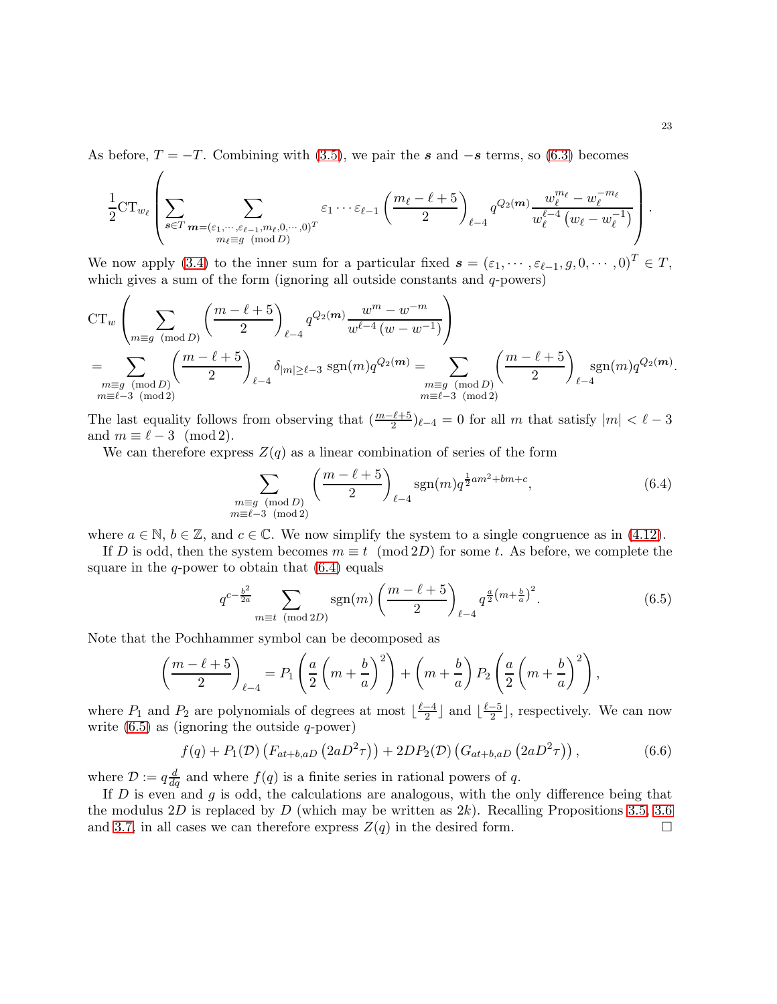As before,  $T = -T$ . Combining with [\(3.5\)](#page-5-2), we pair the s and  $-s$  terms, so [\(6.3\)](#page-21-2) becomes

$$
\frac{1}{2} \mathrm{CT}_{w_{\ell}} \left( \sum_{\mathbf{s} \in T} \sum_{\substack{\mathbf{m} = (\varepsilon_1, \dots, \varepsilon_{\ell-1}, m_{\ell}, 0, \dots, 0)^T \\ m_{\ell} \equiv g \pmod{D}}} \varepsilon_1 \cdots \varepsilon_{\ell-1} \left( \frac{m_{\ell} - \ell + 5}{2} \right)_{\ell-4} q^{Q_2(\mathbf{m})} \frac{w_{\ell}^{m_{\ell}} - w_{\ell}^{-m_{\ell}}}{w_{\ell}^{\ell-4} (w_{\ell} - w_{\ell}^{-1})} \right).
$$

We now apply [\(3.4\)](#page-4-4) to the inner sum for a particular fixed  $\mathbf{s} = (\varepsilon_1, \dots, \varepsilon_{\ell-1}, g, 0, \dots, 0)^T \in T$ , which gives a sum of the form (ignoring all outside constants and  $q$ -powers)

$$
CT_w \left( \sum_{m \equiv g \pmod{D}} \left( \frac{m - \ell + 5}{2} \right)_{\ell - 4} q^{Q_2(m)} \frac{w^m - w^{-m}}{w^{\ell - 4} (w - w^{-1})} \right)
$$
  
= 
$$
\sum_{\substack{m \equiv g \pmod{D} \\ m \equiv \ell - 3 \pmod{2}}} \left( \frac{m - \ell + 5}{2} \right)_{\ell - 4} \delta_{|m| \ge \ell - 3} \operatorname{sgn}(m) q^{Q_2(m)} = \sum_{\substack{m \equiv g \pmod{D} \\ m \equiv \ell - 3 \pmod{2}}} \left( \frac{m - \ell + 5}{2} \right)_{\ell - 4} \operatorname{sgn}(m) q^{Q_2(m)}.
$$

The last equality follows from observing that  $\left(\frac{m-\ell+5}{2}\right)_{\ell-4}=0$  for all m that satisfy  $|m| < \ell-3$ and  $m \equiv \ell - 3 \pmod{2}$ .

We can therefore express  $Z(q)$  as a linear combination of series of the form

<span id="page-22-0"></span>
$$
\sum_{\substack{m \equiv g \pmod{D} \\ m \equiv \ell - 3 \pmod{2}}} \left( \frac{m - \ell + 5}{2} \right)_{\ell - 4} \text{sgn}(m) q^{\frac{1}{2}am^2 + bm + c},\tag{6.4}
$$

where  $a \in \mathbb{N}$ ,  $b \in \mathbb{Z}$ , and  $c \in \mathbb{C}$ . We now simplify the system to a single congruence as in [\(4.12\)](#page-12-2).

If D is odd, then the system becomes  $m \equiv t \pmod{2D}$  for some t. As before, we complete the square in the q-power to obtain that  $(6.4)$  equals

<span id="page-22-1"></span>
$$
q^{c-\frac{b^2}{2a}} \sum_{m \equiv t \pmod{2D}} \text{sgn}(m) \left(\frac{m-\ell+5}{2}\right)_{\ell-4} q^{\frac{a}{2}\left(m+\frac{b}{a}\right)^2}.
$$
 (6.5)

Note that the Pochhammer symbol can be decomposed as

$$
\left(\frac{m-\ell+5}{2}\right)_{\ell-4} = P_1\left(\frac{a}{2}\left(m+\frac{b}{a}\right)^2\right) + \left(m+\frac{b}{a}\right)P_2\left(\frac{a}{2}\left(m+\frac{b}{a}\right)^2\right),\,
$$

where  $P_1$  and  $P_2$  are polynomials of degrees at most  $\lfloor \frac{\ell-4}{2} \rfloor$  $\frac{-4}{2}$  and  $\lfloor \frac{\ell-5}{2} \rfloor$  $\frac{-5}{2}$ , respectively. We can now write  $(6.5)$  as (ignoring the outside q-power)

$$
f(q) + P_1(\mathcal{D}) \left( F_{at+b,aD} \left( 2aD^2 \tau \right) \right) + 2DP_2(\mathcal{D}) \left( G_{at+b,aD} \left( 2aD^2 \tau \right) \right), \tag{6.6}
$$

where  $\mathcal{D} := q \frac{d}{dq}$  and where  $f(q)$  is a finite series in rational powers of q.

If  $D$  is even and  $g$  is odd, the calculations are analogous, with the only difference being that the modulus 2D is replaced by D (which may be written as  $2k$ ). Recalling Propositions [3.5,](#page-7-5) [3.6](#page-8-1) and [3.7,](#page-8-2) in all cases we can therefore express  $Z(q)$  in the desired form.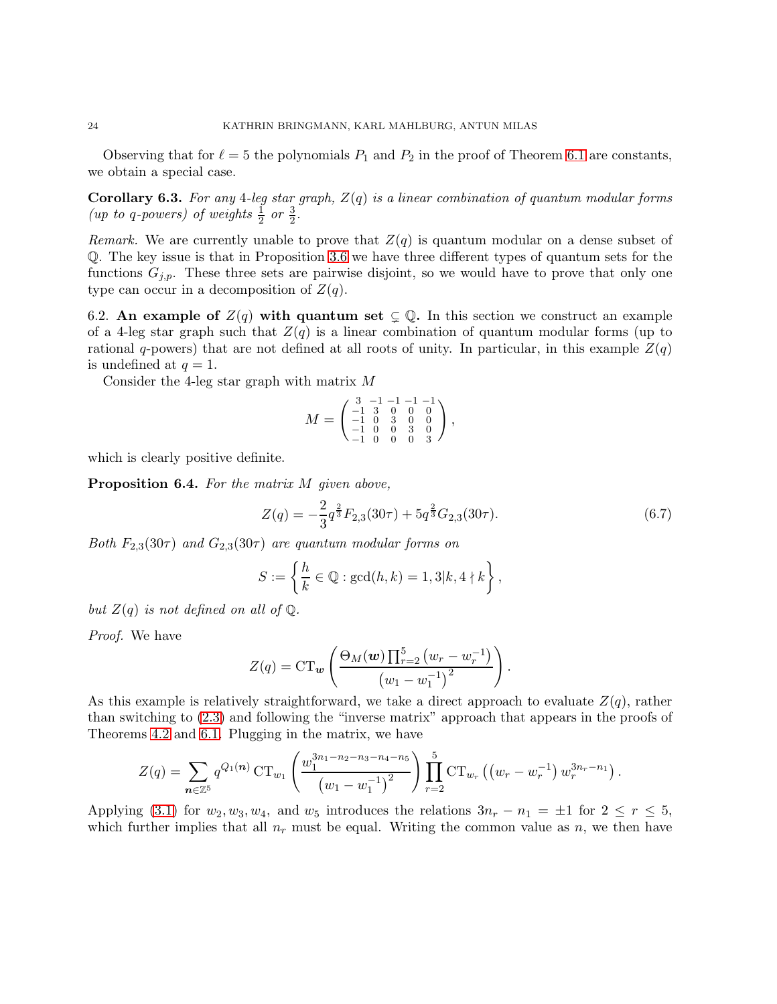Observing that for  $\ell = 5$  the polynomials  $P_1$  and  $P_2$  in the proof of Theorem [6.1](#page-20-0) are constants, we obtain a special case.

**Corollary 6.3.** For any 4-leg star graph,  $Z(q)$  is a linear combination of quantum modular forms (*up to q-powers*) of weights  $\frac{1}{2}$  or  $\frac{3}{2}$ .

Remark. We are currently unable to prove that  $Z(q)$  is quantum modular on a dense subset of Q. The key issue is that in Proposition [3.6](#page-8-1) we have three different types of quantum sets for the functions  $G_{j,p}$ . These three sets are pairwise disjoint, so we would have to prove that only one type can occur in a decomposition of  $Z(q)$ .

6.2. An example of  $Z(q)$  with quantum set  $\subsetneq \mathbb{Q}$ . In this section we construct an example of a 4-leg star graph such that  $Z(q)$  is a linear combination of quantum modular forms (up to rational q-powers) that are not defined at all roots of unity. In particular, in this example  $Z(q)$ is undefined at  $q=1$ .

Consider the 4-leg star graph with matrix M

$$
M = \begin{pmatrix} 3 & -1 & -1 & -1 & -1 \\ -1 & 3 & 0 & 0 & 0 \\ -1 & 0 & 3 & 0 & 0 \\ -1 & 0 & 0 & 3 & 0 \\ -1 & 0 & 0 & 0 & 3 \end{pmatrix},
$$

which is clearly positive definite.

Proposition 6.4. For the matrix M given above,

<span id="page-23-0"></span>
$$
Z(q) = -\frac{2}{3}q^{\frac{2}{3}}F_{2,3}(30\tau) + 5q^{\frac{2}{3}}G_{2,3}(30\tau). \tag{6.7}
$$

Both  $F_{2,3}(30\tau)$  and  $G_{2,3}(30\tau)$  are quantum modular forms on

$$
S := \left\{ \frac{h}{k} \in \mathbb{Q} : \gcd(h, k) = 1, 3 | k, 4 \nmid k \right\},\
$$

but  $Z(q)$  is not defined on all of  $Q$ .

Proof. We have

$$
Z(q) = \mathrm{CT}_{\mathbf{w}}\left(\frac{\Theta_M(\mathbf{w}) \prod_{r=2}^5 (w_r - w_r^{-1})}{(w_1 - w_1^{-1})^2}\right).
$$

As this example is relatively straightforward, we take a direct approach to evaluate  $Z(q)$ , rather than switching to [\(2.3\)](#page-3-4) and following the "inverse matrix" approach that appears in the proofs of Theorems [4.2](#page-9-0) and [6.1.](#page-20-0) Plugging in the matrix, we have

$$
Z(q) = \sum_{n \in \mathbb{Z}^5} q^{Q_1(n)} \operatorname{CT}_{w_1} \left( \frac{w_1^{3n_1 - n_2 - n_3 - n_4 - n_5}}{(w_1 - w_1^{-1})^2} \right) \prod_{r=2}^5 \operatorname{CT}_{w_r} \left( \left( w_r - w_r^{-1} \right) w_r^{3n_r - n_1} \right).
$$

Applying [\(3.1\)](#page-3-2) for  $w_2, w_3, w_4$ , and  $w_5$  introduces the relations  $3n_r - n_1 = \pm 1$  for  $2 \le r \le 5$ , which further implies that all  $n_r$  must be equal. Writing the common value as n, we then have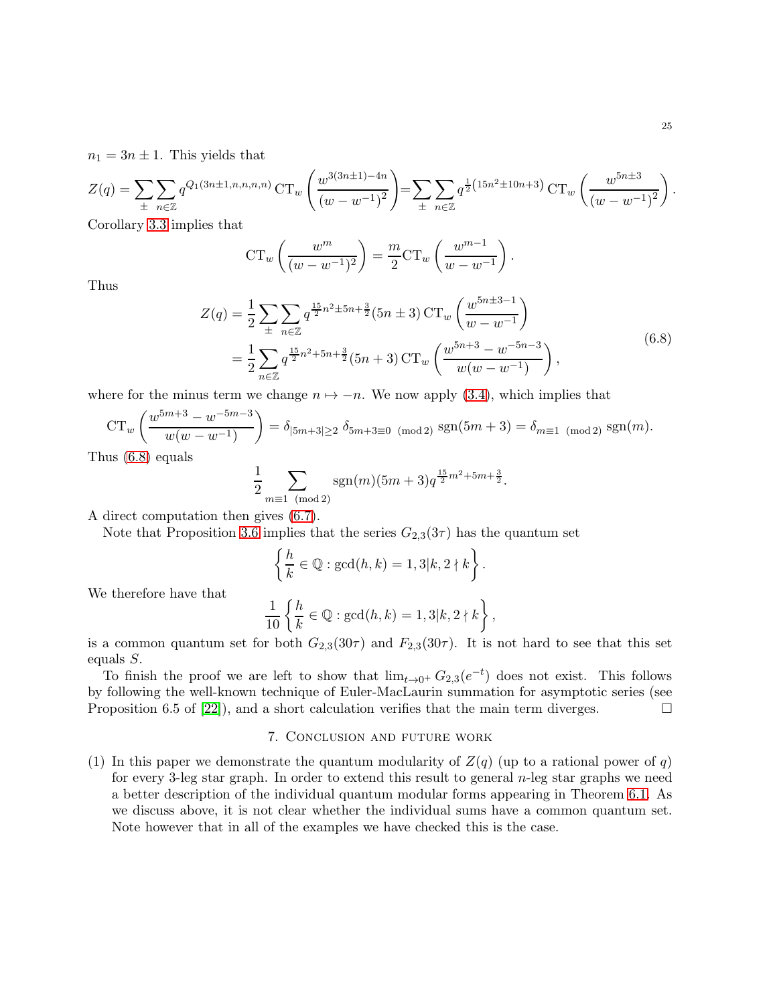$n_1 = 3n \pm 1$ . This yields that

$$
Z(q) = \sum_{\pm} \sum_{n \in \mathbb{Z}} q^{Q_1(3n \pm 1, n, n, n, n)} \operatorname{CT}_{w} \left( \frac{w^{3(3n \pm 1) - 4n}}{(w - w^{-1})^2} \right) = \sum_{\pm} \sum_{n \in \mathbb{Z}} q^{\frac{1}{2}(15n^2 \pm 10n + 3)} \operatorname{CT}_{w} \left( \frac{w^{5n \pm 3}}{(w - w^{-1})^2} \right).
$$

Corollary [3.3](#page-5-1) implies that

$$
\operatorname{CT}_w\left(\frac{w^m}{(w-w^{-1})^2}\right) = \frac{m}{2}\operatorname{CT}_w\left(\frac{w^{m-1}}{w-w^{-1}}\right).
$$

<span id="page-24-0"></span>Thus

$$
Z(q) = \frac{1}{2} \sum_{\pm} \sum_{n \in \mathbb{Z}} q^{\frac{15}{2}n^2 \pm 5n + \frac{3}{2}} (5n \pm 3) \operatorname{CT}_{w} \left( \frac{w^{5n \pm 3 - 1}}{w - w^{-1}} \right)
$$
  
= 
$$
\frac{1}{2} \sum_{n \in \mathbb{Z}} q^{\frac{15}{2}n^2 + 5n + \frac{3}{2}} (5n + 3) \operatorname{CT}_{w} \left( \frac{w^{5n + 3} - w^{-5n - 3}}{w(w - w^{-1})} \right),
$$
(6.8)

where for the minus term we change  $n \mapsto -n$ . We now apply [\(3.4\)](#page-4-4), which implies that

$$
CT_w \left( \frac{w^{5m+3} - w^{-5m-3}}{w(w - w^{-1})} \right) = \delta_{|5m+3| \ge 2} \, \delta_{5m+3 \equiv 0 \pmod{2}} \, \text{sgn}(5m+3) = \delta_{m \equiv 1 \pmod{2}} \, \text{sgn}(m).
$$

Thus [\(6.8\)](#page-24-0) equals

$$
\frac{1}{2} \sum_{m \equiv 1 \pmod{2}} \text{sgn}(m)(5m+3)q^{\frac{15}{2}m^2+5m+\frac{3}{2}}.
$$

A direct computation then gives [\(6.7\)](#page-23-0).

Note that Proposition [3.6](#page-8-1) implies that the series  $G_{2,3}(3\tau)$  has the quantum set

$$
\left\{\frac{h}{k}\in\mathbb{Q}:\gcd(h,k)=1,3|k,2\nmid k\right\}.
$$

We therefore have that

$$
\frac{1}{10} \left\{ \frac{h}{k} \in \mathbb{Q} : \gcd(h, k) = 1, 3 | k, 2 \nmid k \right\},\
$$

is a common quantum set for both  $G_{2,3}(30\tau)$  and  $F_{2,3}(30\tau)$ . It is not hard to see that this set equals S.

To finish the proof we are left to show that  $\lim_{t\to 0^+} G_{2,3}(e^{-t})$  does not exist. This follows by following the well-known technique of Euler-MacLaurin summation for asymptotic series (see Proposition 6.5 of [\[22\]](#page-26-1)), and a short calculation verifies that the main term diverges.

#### 7. Conclusion and future work

(1) In this paper we demonstrate the quantum modularity of  $Z(q)$  (up to a rational power of q) for every 3-leg star graph. In order to extend this result to general  $n$ -leg star graphs we need a better description of the individual quantum modular forms appearing in Theorem [6.1.](#page-20-0) As we discuss above, it is not clear whether the individual sums have a common quantum set. Note however that in all of the examples we have checked this is the case.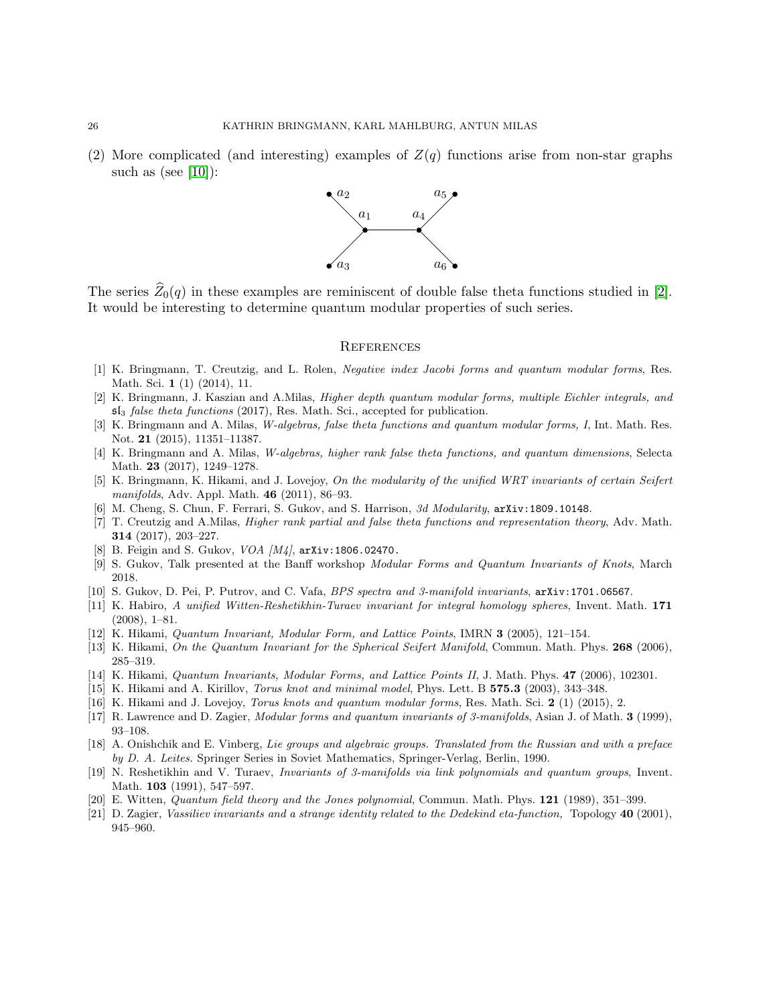(2) More complicated (and interesting) examples of  $Z(q)$  functions arise from non-star graphs such as (see  $[10]$ ):



The series  $\widehat{Z}_0(q)$  in these examples are reminiscent of double false theta functions studied in [\[2\]](#page-25-18). It would be interesting to determine quantum modular properties of such series.

#### **REFERENCES**

- <span id="page-25-16"></span>[1] K. Bringmann, T. Creutzig, and L. Rolen, Negative index Jacobi forms and quantum modular forms, Res. Math. Sci. 1 (1) (2014), 11.
- <span id="page-25-18"></span>[2] K. Bringmann, J. Kaszian and A.Milas, Higher depth quantum modular forms, multiple Eichler integrals, and  $5\mathfrak{ls}$  false theta functions (2017), Res. Math. Sci., accepted for publication.
- <span id="page-25-7"></span>[3] K. Bringmann and A. Milas, W-algebras, false theta functions and quantum modular forms, I, Int. Math. Res. Not. 21 (2015), 11351–11387.
- <span id="page-25-11"></span>[4] K. Bringmann and A. Milas, W-algebras, higher rank false theta functions, and quantum dimensions, Selecta Math. 23 (2017), 1249–1278.
- <span id="page-25-9"></span>[5] K. Bringmann, K. Hikami, and J. Lovejoy, On the modularity of the unified WRT invariants of certain Seifert manifolds, Adv. Appl. Math. 46 (2011), 86–93.
- <span id="page-25-14"></span><span id="page-25-8"></span>[6] M. Cheng, S. Chun, F. Ferrari, S. Gukov, and S. Harrison, 3d Modularity,  $arXiv:1809.10148$ .
- [7] T. Creutzig and A.Milas, Higher rank partial and false theta functions and representation theory, Adv. Math. 314 (2017), 203–227.
- <span id="page-25-13"></span><span id="page-25-12"></span>[8] B. Feigin and S. Gukov, VOA [M4], arXiv:1806.02470.
- <span id="page-25-10"></span>[9] S. Gukov, Talk presented at the Banff workshop Modular Forms and Quantum Invariants of Knots, March 2018.
- <span id="page-25-2"></span>[10] S. Gukov, D. Pei, P. Putrov, and C. Vafa, BPS spectra and 3-manifold invariants, arXiv:1701.06567.
- [11] K. Habiro, A unified Witten-Reshetikhin-Turaev invariant for integral homology spheres, Invent. Math. 171 (2008), 1–81.
- <span id="page-25-5"></span>[12] K. Hikami, Quantum Invariant, Modular Form, and Lattice Points, IMRN 3 (2005), 121–154.
- <span id="page-25-15"></span>[13] K. Hikami, On the Quantum Invariant for the Spherical Seifert Manifold, Commun. Math. Phys. 268 (2006), 285–319.
- [14] K. Hikami, Quantum Invariants, Modular Forms, and Lattice Points II, J. Math. Phys. 47 (2006), 102301.
- <span id="page-25-6"></span>[15] K. Hikami and A. Kirillov, *Torus knot and minimal model*, Phys. Lett. B 575.3 (2003), 343-348.
- <span id="page-25-3"></span>[16] K. Hikami and J. Lovejoy, Torus knots and quantum modular forms, Res. Math. Sci. 2 (1) (2015), 2.
- <span id="page-25-17"></span>[17] R. Lawrence and D. Zagier, Modular forms and quantum invariants of 3-manifolds, Asian J. of Math. 3 (1999), 93–108.
- [18] A. Onishchik and E. Vinberg, Lie groups and algebraic groups. Translated from the Russian and with a preface by D. A. Leites. Springer Series in Soviet Mathematics, Springer-Verlag, Berlin, 1990.
- <span id="page-25-1"></span>[19] N. Reshetikhin and V. Turaev, Invariants of 3-manifolds via link polynomials and quantum groups, Invent. Math. **103** (1991), 547-597.
- <span id="page-25-4"></span><span id="page-25-0"></span>[20] E. Witten, Quantum field theory and the Jones polynomial, Commun. Math. Phys. 121 (1989), 351–399.
- [21] D. Zagier, Vassiliev invariants and a strange identity related to the Dedekind eta-function, Topology 40 (2001), 945–960.